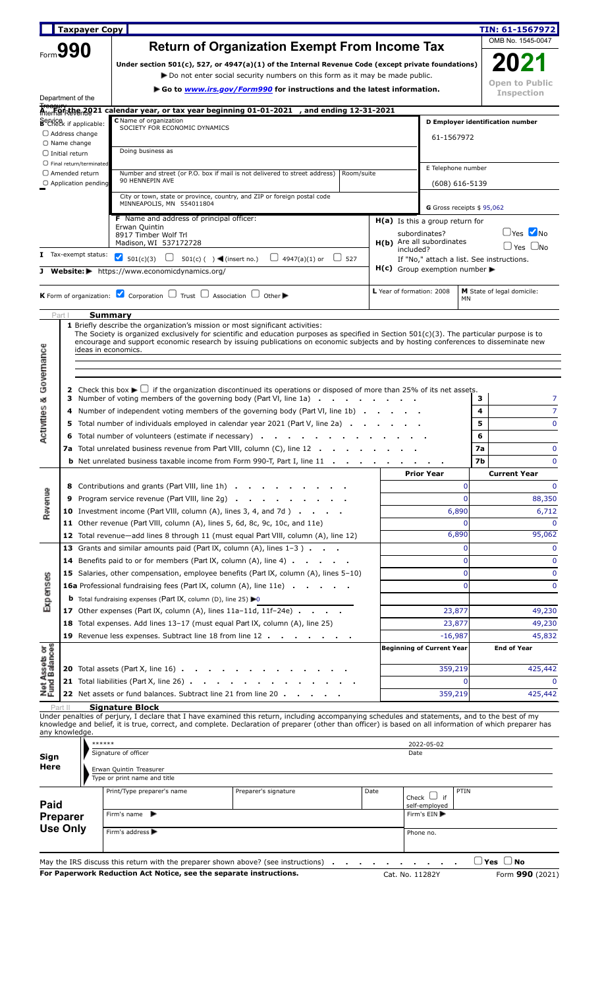|                                                                               |                                             | <b>Taxpayer Copy</b>              |                                                                                                                                                                                                                                                                                                           |                         |                                           |  |                           |                                  |                    | TIN: 61-1567972                      |  |  |  |
|-------------------------------------------------------------------------------|---------------------------------------------|-----------------------------------|-----------------------------------------------------------------------------------------------------------------------------------------------------------------------------------------------------------------------------------------------------------------------------------------------------------|-------------------------|-------------------------------------------|--|---------------------------|----------------------------------|--------------------|--------------------------------------|--|--|--|
|                                                                               |                                             |                                   | <b>Return of Organization Exempt From Income Tax</b>                                                                                                                                                                                                                                                      |                         |                                           |  |                           |                                  |                    | OMB No. 1545-0047                    |  |  |  |
|                                                                               | Form 990                                    |                                   |                                                                                                                                                                                                                                                                                                           |                         |                                           |  |                           |                                  |                    | 2021                                 |  |  |  |
|                                                                               |                                             |                                   | Under section $501(c)$ , 527, or 4947(a)(1) of the Internal Revenue Code (except private foundations)<br>► Do not enter social security numbers on this form as it may be made public.                                                                                                                    |                         |                                           |  |                           |                                  |                    |                                      |  |  |  |
|                                                                               |                                             |                                   | ► Go to <i>www.irs.gov/Form990</i> for instructions and the latest information.                                                                                                                                                                                                                           |                         |                                           |  |                           |                                  |                    |                                      |  |  |  |
|                                                                               | Department of the                           |                                   |                                                                                                                                                                                                                                                                                                           |                         |                                           |  |                           |                                  |                    | <b>Inspection</b>                    |  |  |  |
|                                                                               |                                             |                                   | Aterfarishe 2021 calendar year, or tax year beginning 01-01-2021 , and ending 12-31-2021                                                                                                                                                                                                                  |                         |                                           |  |                           |                                  |                    |                                      |  |  |  |
|                                                                               |                                             | Service<br>B Check if applicable: | C Name of organization<br>SOCIETY FOR ECONOMIC DYNAMICS                                                                                                                                                                                                                                                   |                         |                                           |  |                           |                                  |                    | D Employer identification number     |  |  |  |
|                                                                               | $\Box$ Address change<br>$\Box$ Name change |                                   |                                                                                                                                                                                                                                                                                                           |                         | 61-1567972                                |  |                           |                                  |                    |                                      |  |  |  |
|                                                                               | $\Box$ Initial return                       |                                   | Doing business as                                                                                                                                                                                                                                                                                         |                         |                                           |  |                           |                                  |                    |                                      |  |  |  |
|                                                                               |                                             | $\Box$ Final return/terminated    |                                                                                                                                                                                                                                                                                                           |                         |                                           |  |                           | E Telephone number               |                    |                                      |  |  |  |
|                                                                               | $\Box$ Amended return                       | $\bigcirc$ Application pending    | Number and street (or P.O. box if mail is not delivered to street address)<br>90 HENNEPIN AVE                                                                                                                                                                                                             |                         | Room/suite                                |  |                           |                                  | $(608) 616 - 5139$ |                                      |  |  |  |
|                                                                               |                                             |                                   | City or town, state or province, country, and ZIP or foreign postal code                                                                                                                                                                                                                                  |                         |                                           |  |                           |                                  |                    |                                      |  |  |  |
|                                                                               |                                             |                                   | MINNEAPOLIS, MN 554011804                                                                                                                                                                                                                                                                                 |                         |                                           |  |                           | G Gross receipts \$95,062        |                    |                                      |  |  |  |
|                                                                               |                                             |                                   | <b>F</b> Name and address of principal officer:<br>Erwan Quintin                                                                                                                                                                                                                                          |                         |                                           |  |                           | H(a) Is this a group return for  |                    |                                      |  |  |  |
|                                                                               |                                             |                                   | 8917 Timber Wolf Trl                                                                                                                                                                                                                                                                                      |                         |                                           |  | subordinates?             |                                  |                    | $\Box$ Yes $\bigtriangledown$ No     |  |  |  |
|                                                                               |                                             |                                   | Madison, WI 537172728                                                                                                                                                                                                                                                                                     | $\bigcup$ 4947(a)(1) or |                                           |  | included?                 | H(b) Are all subordinates        |                    | $\Box$ Yes $\Box$ No                 |  |  |  |
|                                                                               |                                             | I Tax-exempt status:              | 501(c)(3) $\Box$ 501(c)( ) (insert no.)                                                                                                                                                                                                                                                                   |                         | If "No," attach a list. See instructions. |  |                           |                                  |                    |                                      |  |  |  |
|                                                                               |                                             |                                   | J Website: https://www.economicdynamics.org/                                                                                                                                                                                                                                                              |                         |                                           |  |                           | $H(c)$ Group exemption number    |                    |                                      |  |  |  |
|                                                                               |                                             |                                   | <b>K</b> Form of organization: $\blacksquare$ Corporation $\Box$ Trust $\Box$ Association $\Box$ Other                                                                                                                                                                                                    |                         |                                           |  | L Year of formation: 2008 |                                  |                    | <b>M</b> State of legal domicile:    |  |  |  |
|                                                                               |                                             |                                   |                                                                                                                                                                                                                                                                                                           |                         |                                           |  |                           |                                  | <b>MN</b>          |                                      |  |  |  |
| Part I                                                                        |                                             | <b>Summary</b>                    |                                                                                                                                                                                                                                                                                                           |                         |                                           |  |                           |                                  |                    |                                      |  |  |  |
|                                                                               |                                             |                                   | <b>1</b> Briefly describe the organization's mission or most significant activities:<br>The Society is organized exclusively for scientific and education purposes as specified in Section $501(c)(3)$ . The particular purpose is to                                                                     |                         |                                           |  |                           |                                  |                    |                                      |  |  |  |
|                                                                               |                                             |                                   | encourage and support economic research by issuing publications on economic subjects and by hosting conferences to disseminate new                                                                                                                                                                        |                         |                                           |  |                           |                                  |                    |                                      |  |  |  |
|                                                                               |                                             |                                   | ideas in economics.                                                                                                                                                                                                                                                                                       |                         |                                           |  |                           |                                  |                    |                                      |  |  |  |
|                                                                               |                                             |                                   |                                                                                                                                                                                                                                                                                                           |                         |                                           |  |                           |                                  |                    |                                      |  |  |  |
|                                                                               |                                             |                                   | 2 Check this box $\blacktriangleright \bigcup$ if the organization discontinued its operations or disposed of more than 25% of its net assets.                                                                                                                                                            |                         |                                           |  |                           |                                  |                    |                                      |  |  |  |
| Governance                                                                    |                                             |                                   | 3 Number of voting members of the governing body (Part VI, line 1a)<br>4 Number of independent voting members of the governing body (Part VI, line 1b)                                                                                                                                                    |                         |                                           |  |                           |                                  | з<br>4             | 7<br>$\overline{7}$                  |  |  |  |
| ctivities &                                                                   |                                             |                                   | 5 Total number of individuals employed in calendar year 2021 (Part V, line 2a)                                                                                                                                                                                                                            |                         |                                           |  |                           |                                  | 5                  | $\mathbf{0}$                         |  |  |  |
|                                                                               |                                             |                                   | 6 Total number of volunteers (estimate if necessary)                                                                                                                                                                                                                                                      |                         |                                           |  |                           |                                  | 6                  |                                      |  |  |  |
| σ                                                                             |                                             |                                   | <b>7a</b> Total unrelated business revenue from Part VIII, column (C), line 12                                                                                                                                                                                                                            |                         |                                           |  |                           |                                  | 7a                 | $\mathbf 0$                          |  |  |  |
|                                                                               |                                             |                                   | <b>b</b> Net unrelated business taxable income from Form 990-T, Part I, line 11 .                                                                                                                                                                                                                         |                         |                                           |  |                           |                                  | 7b                 | $\mathbf 0$                          |  |  |  |
|                                                                               |                                             |                                   | 8 Contributions and grants (Part VIII, line 1h)                                                                                                                                                                                                                                                           |                         |                                           |  | <b>Prior Year</b>         |                                  | 0                  | <b>Current Year</b><br>$\mathbf 0$   |  |  |  |
|                                                                               | 9                                           |                                   | Program service revenue (Part VIII, line 2g)                                                                                                                                                                                                                                                              |                         |                                           |  |                           |                                  | $\Omega$           | 88,350                               |  |  |  |
|                                                                               |                                             |                                   | <b>10</b> Investment income (Part VIII, column $(A)$ , lines 3, 4, and 7d) $\ldots$                                                                                                                                                                                                                       |                         |                                           |  |                           |                                  | 6,890              | 6,712                                |  |  |  |
|                                                                               |                                             |                                   | 11 Other revenue (Part VIII, column (A), lines 5, 6d, 8c, 9c, 10c, and 11e)                                                                                                                                                                                                                               |                         |                                           |  |                           |                                  | $\Omega$           | $\Omega$                             |  |  |  |
|                                                                               |                                             |                                   | 12 Total revenue-add lines 8 through 11 (must equal Part VIII, column (A), line 12)                                                                                                                                                                                                                       |                         |                                           |  |                           |                                  | 6,890              |                                      |  |  |  |
|                                                                               |                                             |                                   | 13 Grants and similar amounts paid (Part IX, column (A), lines 1-3)                                                                                                                                                                                                                                       |                         |                                           |  |                           |                                  | $\Omega$           |                                      |  |  |  |
|                                                                               |                                             |                                   | <b>14</b> Benefits paid to or for members (Part IX, column (A), line 4)                                                                                                                                                                                                                                   |                         |                                           |  |                           |                                  | $\Omega$           | 95,062<br>$\mathbf 0$<br>$\mathbf 0$ |  |  |  |
|                                                                               |                                             |                                   | 15 Salaries, other compensation, employee benefits (Part IX, column (A), lines 5-10)                                                                                                                                                                                                                      |                         |                                           |  |                           |                                  | $\mathbf 0$        | $\mathbf 0$                          |  |  |  |
|                                                                               |                                             |                                   | <b>16a</b> Professional fundraising fees (Part IX, column (A), line 11e)                                                                                                                                                                                                                                  |                         |                                           |  |                           |                                  | $\Omega$           | $\mathbf 0$                          |  |  |  |
|                                                                               |                                             |                                   | <b>b</b> Total fundraising expenses (Part IX, column (D), line 25) $\blacktriangleright$ 0                                                                                                                                                                                                                |                         |                                           |  |                           |                                  |                    |                                      |  |  |  |
|                                                                               |                                             |                                   | 17 Other expenses (Part IX, column $(A)$ , lines 11a-11d, 11f-24e) $\ldots$                                                                                                                                                                                                                               |                         |                                           |  |                           | 23,877                           |                    | 49,230                               |  |  |  |
|                                                                               |                                             |                                   | 18 Total expenses. Add lines 13-17 (must equal Part IX, column (A), line 25)                                                                                                                                                                                                                              |                         |                                           |  |                           | 23,877                           |                    | 49,230                               |  |  |  |
|                                                                               |                                             |                                   | 19 Revenue less expenses. Subtract line 18 from line 12                                                                                                                                                                                                                                                   |                         |                                           |  |                           | $-16,987$                        |                    | 45,832                               |  |  |  |
|                                                                               |                                             |                                   |                                                                                                                                                                                                                                                                                                           |                         |                                           |  |                           | <b>Beginning of Current Year</b> |                    | <b>End of Year</b>                   |  |  |  |
|                                                                               |                                             |                                   | <b>20</b> Total assets (Part X, line 16) $\cdot \cdot \cdot \cdot \cdot$                                                                                                                                                                                                                                  |                         |                                           |  |                           | 359,219                          |                    | 425,442                              |  |  |  |
|                                                                               |                                             |                                   | 21 Total liabilities (Part X, line 26)                                                                                                                                                                                                                                                                    |                         |                                           |  |                           |                                  | $\Omega$           | $\Omega$                             |  |  |  |
|                                                                               |                                             |                                   | 22 Net assets or fund balances. Subtract line 21 from line 20.                                                                                                                                                                                                                                            |                         |                                           |  |                           | 359,219                          |                    | 425,442                              |  |  |  |
|                                                                               |                                             |                                   | <b>Signature Block</b>                                                                                                                                                                                                                                                                                    |                         |                                           |  |                           |                                  |                    |                                      |  |  |  |
|                                                                               |                                             |                                   | Under penalties of perjury, I declare that I have examined this return, including accompanying schedules and statements, and to the best of my<br>knowledge and belief, it is true, correct, and complete. Declaration of preparer (other than officer) is based on all information of which preparer has |                         |                                           |  |                           |                                  |                    |                                      |  |  |  |
|                                                                               | any knowledge.                              |                                   |                                                                                                                                                                                                                                                                                                           |                         |                                           |  |                           |                                  |                    |                                      |  |  |  |
|                                                                               |                                             | ******                            | Signature of officer                                                                                                                                                                                                                                                                                      |                         |                                           |  | 2022-05-02<br>Date        |                                  |                    |                                      |  |  |  |
|                                                                               |                                             |                                   |                                                                                                                                                                                                                                                                                                           |                         |                                           |  |                           |                                  |                    |                                      |  |  |  |
|                                                                               |                                             |                                   | Erwan Quintin Treasurer<br>Type or print name and title                                                                                                                                                                                                                                                   |                         |                                           |  |                           |                                  |                    |                                      |  |  |  |
|                                                                               |                                             |                                   | Print/Type preparer's name                                                                                                                                                                                                                                                                                | Preparer's signature    | Date                                      |  |                           |                                  | PTIN               |                                      |  |  |  |
|                                                                               |                                             |                                   |                                                                                                                                                                                                                                                                                                           |                         |                                           |  | Check $\cup$ if           | self-employed                    |                    |                                      |  |  |  |
| Revenue<br>Expenses<br>Net Assets or<br>Fund Balances<br>Sign<br>Here<br>Paid | <b>Preparer</b><br><b>Use Only</b>          |                                   | Firm's name $\blacktriangleright$                                                                                                                                                                                                                                                                         |                         |                                           |  | Firm's EIN ▶              |                                  |                    |                                      |  |  |  |

| May the IRS discuss this return with the preparer shown above? (see instructions) $\cdot \cdot \cdot \cdot \cdot \cdot \cdot$ |  |                 |  | $\Box$ Yes $\Box$ No |
|-------------------------------------------------------------------------------------------------------------------------------|--|-----------------|--|----------------------|
| For Paperwork Reduction Act Notice, see the separate instructions.                                                            |  | Cat. No. 11282Y |  | Form 990 (2021)      |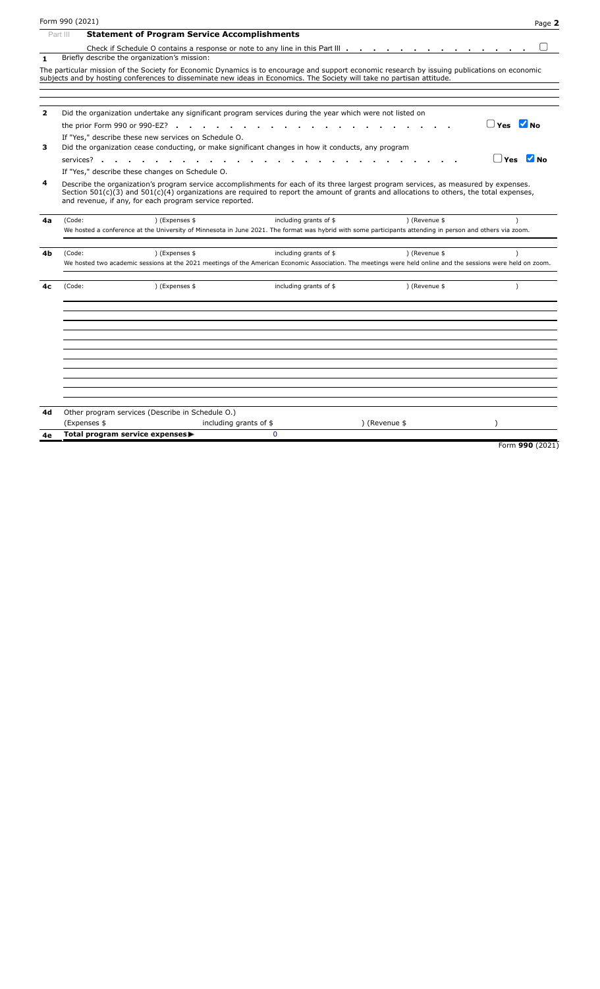|                         | Form 990 (2021)                                                              |                                                                                                                        |                         |                        |                                                                                                                                                                                                                                                                                      | Page 2    |  |  |  |  |  |  |
|-------------------------|------------------------------------------------------------------------------|------------------------------------------------------------------------------------------------------------------------|-------------------------|------------------------|--------------------------------------------------------------------------------------------------------------------------------------------------------------------------------------------------------------------------------------------------------------------------------------|-----------|--|--|--|--|--|--|
|                         | Part III                                                                     | <b>Statement of Program Service Accomplishments</b>                                                                    |                         |                        |                                                                                                                                                                                                                                                                                      |           |  |  |  |  |  |  |
|                         |                                                                              | Check if Schedule O contains a response or note to any line in this Part III $\cdots$ $\cdots$ $\cdots$                |                         |                        |                                                                                                                                                                                                                                                                                      |           |  |  |  |  |  |  |
| $\mathbf{1}$            |                                                                              | Briefly describe the organization's mission:                                                                           |                         |                        |                                                                                                                                                                                                                                                                                      |           |  |  |  |  |  |  |
|                         |                                                                              | subjects and by hosting conferences to disseminate new ideas in Economics. The Society will take no partisan attitude. |                         |                        | The particular mission of the Society for Economic Dynamics is to encourage and support economic research by issuing publications on economic                                                                                                                                        |           |  |  |  |  |  |  |
| $\overline{\mathbf{2}}$ |                                                                              | Did the organization undertake any significant program services during the year which were not listed on               |                         |                        |                                                                                                                                                                                                                                                                                      |           |  |  |  |  |  |  |
|                         |                                                                              |                                                                                                                        |                         |                        |                                                                                                                                                                                                                                                                                      |           |  |  |  |  |  |  |
|                         | $\n  Yes\n  YNo$<br>the prior Form $990$ or $990$ -EZ?                       |                                                                                                                        |                         |                        |                                                                                                                                                                                                                                                                                      |           |  |  |  |  |  |  |
| з                       |                                                                              | If "Yes," describe these new services on Schedule O.                                                                   |                         |                        |                                                                                                                                                                                                                                                                                      |           |  |  |  |  |  |  |
|                         |                                                                              | Did the organization cease conducting, or make significant changes in how it conducts, any program                     |                         |                        |                                                                                                                                                                                                                                                                                      |           |  |  |  |  |  |  |
|                         | $Yes$ $Mno$<br>services?.<br>If "Yes," describe these changes on Schedule O. |                                                                                                                        |                         |                        |                                                                                                                                                                                                                                                                                      |           |  |  |  |  |  |  |
|                         |                                                                              |                                                                                                                        |                         |                        |                                                                                                                                                                                                                                                                                      |           |  |  |  |  |  |  |
| 4                       |                                                                              | and revenue, if any, for each program service reported.                                                                |                         |                        | Describe the organization's program service accomplishments for each of its three largest program services, as measured by expenses.<br>Section $501(c)(3)$ and $501(c)(4)$ organizations are required to report the amount of grants and allocations to others, the total expenses, |           |  |  |  |  |  |  |
| 4a                      | (Code:                                                                       | ) (Expenses \$                                                                                                         |                         | including grants of \$ | ) (Revenue \$                                                                                                                                                                                                                                                                        |           |  |  |  |  |  |  |
|                         |                                                                              |                                                                                                                        |                         |                        | We hosted a conference at the University of Minnesota in June 2021. The format was hybrid with some participants attending in person and others via zoom.                                                                                                                            |           |  |  |  |  |  |  |
| 4b                      | (Code:                                                                       | ) (Expenses \$                                                                                                         |                         | including grants of \$ | ) (Revenue \$                                                                                                                                                                                                                                                                        | $\lambda$ |  |  |  |  |  |  |
|                         |                                                                              |                                                                                                                        |                         |                        | We hosted two academic sessions at the 2021 meetings of the American Economic Association. The meetings were held online and the sessions were held on zoom.                                                                                                                         |           |  |  |  |  |  |  |
| 4c                      | (Code:                                                                       | ) (Expenses \$                                                                                                         |                         | including grants of \$ | ) (Revenue \$                                                                                                                                                                                                                                                                        | $\lambda$ |  |  |  |  |  |  |
|                         |                                                                              |                                                                                                                        |                         |                        |                                                                                                                                                                                                                                                                                      |           |  |  |  |  |  |  |
|                         |                                                                              |                                                                                                                        |                         |                        |                                                                                                                                                                                                                                                                                      |           |  |  |  |  |  |  |
|                         |                                                                              |                                                                                                                        |                         |                        |                                                                                                                                                                                                                                                                                      |           |  |  |  |  |  |  |
|                         |                                                                              |                                                                                                                        |                         |                        |                                                                                                                                                                                                                                                                                      |           |  |  |  |  |  |  |
|                         |                                                                              |                                                                                                                        |                         |                        |                                                                                                                                                                                                                                                                                      |           |  |  |  |  |  |  |
| 4d                      |                                                                              | Other program services (Describe in Schedule O.)                                                                       |                         |                        |                                                                                                                                                                                                                                                                                      |           |  |  |  |  |  |  |
|                         |                                                                              | (Expenses \$                                                                                                           | including grants of $$$ |                        | ) (Revenue \$                                                                                                                                                                                                                                                                        |           |  |  |  |  |  |  |
| 4е                      |                                                                              | Total program service expenses▶                                                                                        |                         | $\Omega$               |                                                                                                                                                                                                                                                                                      |           |  |  |  |  |  |  |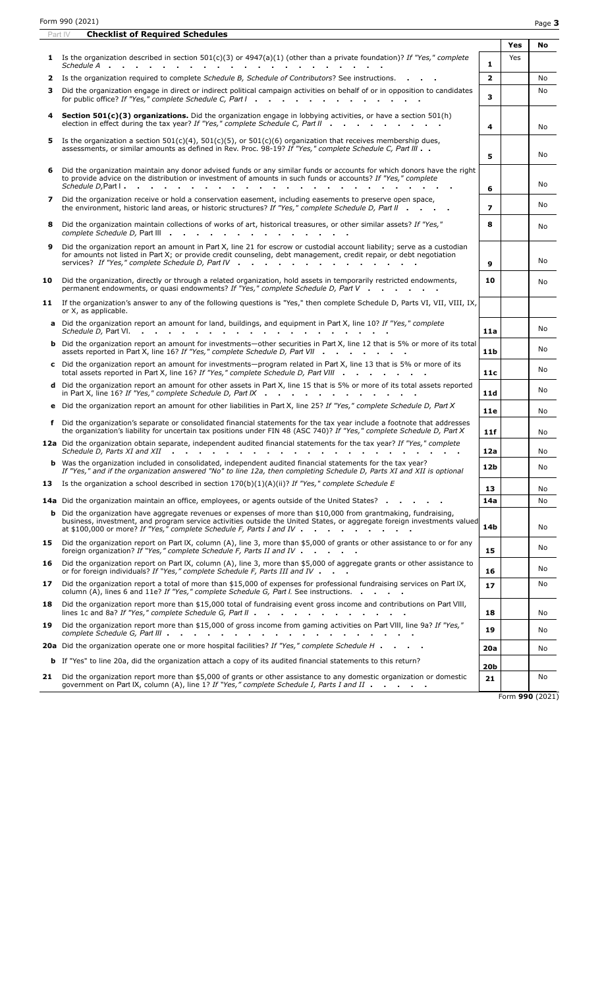Part IV **Checklist of Required Schedules**

|                |                                                                                                                                                                                                                                                                                                                                                                             |                 | Yes | No  |
|----------------|-----------------------------------------------------------------------------------------------------------------------------------------------------------------------------------------------------------------------------------------------------------------------------------------------------------------------------------------------------------------------------|-----------------|-----|-----|
|                | <b>1</b> Is the organization described in section 501(c)(3) or 4947(a)(1) (other than a private foundation)? If "Yes," complete                                                                                                                                                                                                                                             | $\mathbf{1}$    | Yes |     |
| 2              | Is the organization required to complete Schedule B, Schedule of Contributors? See instructions.                                                                                                                                                                                                                                                                            | $\overline{2}$  |     | No  |
| 3              | Did the organization engage in direct or indirect political campaign activities on behalf of or in opposition to candidates<br>for public office? If "Yes," complete Schedule C, Part I                                                                                                                                                                                     | 3               |     | No  |
|                | Section 501(c)(3) organizations. Did the organization engage in lobbying activities, or have a section 501(h)<br>election in effect during the tax year? If "Yes," complete Schedule C, Part II                                                                                                                                                                             | 4               |     | No  |
| 5              | Is the organization a section $501(c)(4)$ , $501(c)(5)$ , or $501(c)(6)$ organization that receives membership dues,<br>assessments, or similar amounts as defined in Rev. Proc. 98-19? If "Yes," complete Schedule C, Part III                                                                                                                                             | 5               |     | No  |
| 6              | Did the organization maintain any donor advised funds or any similar funds or accounts for which donors have the right<br>to provide advice on the distribution or investment of amounts in such funds or accounts? If "Yes," complete<br>Schedule D, Part I.<br>.                                                                                                          | 6               |     | No  |
| $\overline{ }$ | Did the organization receive or hold a conservation easement, including easements to preserve open space,<br>the environment, historic land areas, or historic structures? If "Yes," complete Schedule D, Part II                                                                                                                                                           | $\overline{z}$  |     | No. |
| 8              | Did the organization maintain collections of works of art, historical treasures, or other similar assets? If "Yes,"<br>complete Schedule D, Part III                                                                                                                                                                                                                        | 8               |     | No. |
| 9              | Did the organization report an amount in Part X, line 21 for escrow or custodial account liability; serve as a custodian<br>for amounts not listed in Part X; or provide credit counseling, debt management, credit repair, or debt negotiation<br>services? If "Yes," complete Schedule D, Part IV                                                                         | 9               |     | No  |
| 10             | Did the organization, directly or through a related organization, hold assets in temporarily restricted endowments,<br>permanent endowments, or quasi endowments? If "Yes," complete Schedule D, Part V                                                                                                                                                                     | 10              |     | No  |
|                | 11 If the organization's answer to any of the following questions is "Yes," then complete Schedule D, Parts VI, VII, VIII, IX,<br>or X, as applicable.                                                                                                                                                                                                                      |                 |     |     |
|                | a Did the organization report an amount for land, buildings, and equipment in Part X, line 10? If "Yes," complete<br>Schedule D, Part VI.<br>the contract of the contract of the contract of the contract of the contract of the contract of the contract of the contract of the contract of the contract of the contract of the contract of the contract of the contract o | 11a             |     | No. |
|                | <b>b</b> Did the organization report an amount for investments—other securities in Part X, line 12 that is 5% or more of its total<br>assets reported in Part X, line 16? If "Yes," complete Schedule D, Part VII                                                                                                                                                           | 11 <sub>b</sub> |     | No  |
|                | c Did the organization report an amount for investments-program related in Part X, line 13 that is 5% or more of its<br>total assets reported in Part X, line 16? If "Yes," complete Schedule D, Part VIII                                                                                                                                                                  | 11c             |     | No  |
|                | d Did the organization report an amount for other assets in Part X, line 15 that is 5% or more of its total assets reported<br>in Part X, line 16? If "Yes," complete Schedule D, Part IX $\cdot \cdot \cdot \cdot \cdot \cdot \cdot \cdot$                                                                                                                                 | 11d             |     | No  |
|                | e Did the organization report an amount for other liabilities in Part X, line 25? If "Yes," complete Schedule D, Part X                                                                                                                                                                                                                                                     | 11e             |     | No  |
|                | f Did the organization's separate or consolidated financial statements for the tax year include a footnote that addresses<br>the organization's liability for uncertain tax positions under FIN 48 (ASC 740)? If "Yes," complete Schedule D, Part X                                                                                                                         | 11f             |     | No. |
|                | 12a Did the organization obtain separate, independent audited financial statements for the tax year? If "Yes," complete<br>Schedule D. Parts XI and XII                                                                                                                                                                                                                     | 12a             |     | No  |
|                | <b>b</b> Was the organization included in consolidated, independent audited financial statements for the tax year?<br>If "Yes," and if the organization answered "No" to line 12a, then completing Schedule D, Parts XI and XII is optional                                                                                                                                 | 12b             |     | No  |
| 13             | Is the organization a school described in section $170(b)(1)(A)(ii)$ ? If "Yes," complete Schedule E                                                                                                                                                                                                                                                                        | 13              |     | No  |
|                | 14a Did the organization maintain an office, employees, or agents outside of the United States?                                                                                                                                                                                                                                                                             | 14a             |     | No  |
|                | <b>b</b> Did the organization have aggregate revenues or expenses of more than \$10,000 from grantmaking, fundraising,<br>business, investment, and program service activities outside the United States, or aggregate foreign investments valued<br>at \$100,000 or more? If "Yes," complete Schedule F, Parts I and IV $\cdot \cdot \cdot \cdot \cdot \cdot$              | 14b             |     | No  |
| 15             | Did the organization report on Part IX, column (A), line 3, more than \$5,000 of grants or other assistance to or for any<br>foreign organization? If "Yes," complete Schedule F, Parts II and IV                                                                                                                                                                           | 15              |     | No  |
| 16             | Did the organization report on Part IX, column (A), line 3, more than \$5,000 of aggregate grants or other assistance to<br>or for foreign individuals? If "Yes," complete Schedule F, Parts III and IV $\blacksquare$                                                                                                                                                      | 16              |     | No  |
| 17             | Did the organization report a total of more than \$15,000 of expenses for professional fundraising services on Part IX,<br>column (A), lines 6 and 11e? If "Yes," complete Schedule G, Part I. See instructions.                                                                                                                                                            | 17              |     | No  |
| 18             | Did the organization report more than \$15,000 total of fundraising event gross income and contributions on Part VIII,<br>lines 1c and 8a? If "Yes," complete Schedule G, Part II                                                                                                                                                                                           | 18              |     | No  |
| 19             | Did the organization report more than \$15,000 of gross income from gaming activities on Part VIII, line 9a? If "Yes,"                                                                                                                                                                                                                                                      | 19              |     | No  |
|                | 20a Did the organization operate one or more hospital facilities? If "Yes," complete Schedule H                                                                                                                                                                                                                                                                             | 20a             |     | No. |
|                | <b>b</b> If "Yes" to line 20a, did the organization attach a copy of its audited financial statements to this return?                                                                                                                                                                                                                                                       | <b>20b</b>      |     |     |
| 21             | Did the organization report more than \$5,000 of grants or other assistance to any domestic organization or domestic<br>government on Part IX, column (A), line 1? If "Yes," complete Schedule I, Parts I and II                                                                                                                                                            | 21              |     | No  |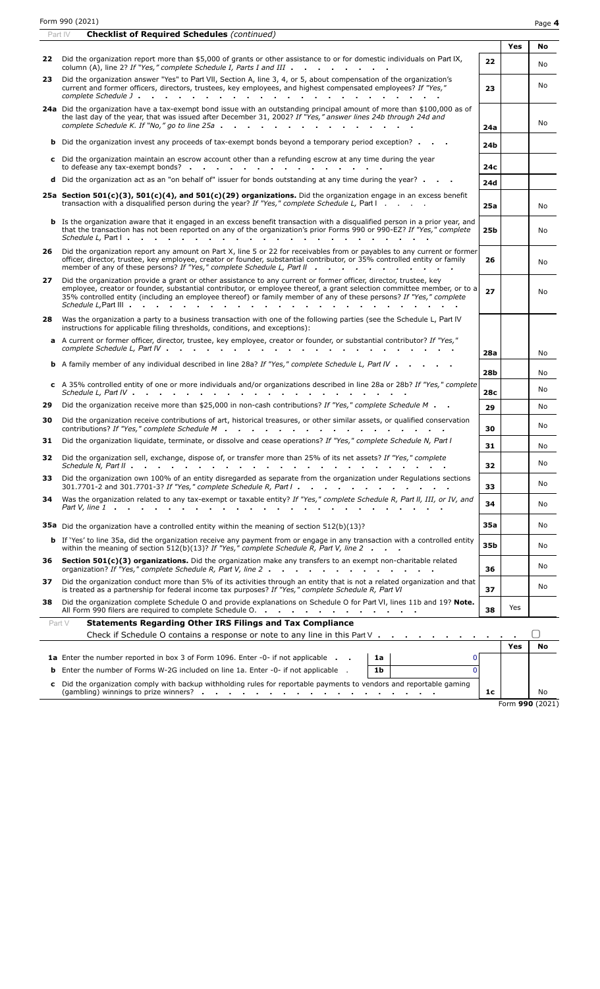| Form 990 (2021) | Page 4 |
|-----------------|--------|
|                 |        |

| Yes<br>22 Did the organization report more than \$5,000 of grants or other assistance to or for domestic individuals on Part IX,<br>22<br>column (A), line 2? If "Yes," complete Schedule I, Parts I and III<br>Did the organization answer "Yes" to Part VII, Section A, line 3, 4, or 5, about compensation of the organization's<br>23<br>No<br>current and former officers, directors, trustees, key employees, and highest compensated employees? If "Yes,"<br>23<br>24a Did the organization have a tax-exempt bond issue with an outstanding principal amount of more than \$100,000 as of<br>the last day of the year, that was issued after December 31, 2002? If "Yes," answer lines 24b through 24d and<br>No<br>complete Schedule K. If "No," go to line 25a<br>24a<br><b>b</b> Did the organization invest any proceeds of tax-exempt bonds beyond a temporary period exception?<br>24b<br>c Did the organization maintain an escrow account other than a refunding escrow at any time during the year<br>to defease any tax-exempt bonds?<br>24c<br><b>d</b> Did the organization act as an "on behalf of" issuer for bonds outstanding at any time during the year? $\blacksquare$<br>24d<br>25a Section 501(c)(3), 501(c)(4), and 501(c)(29) organizations. Did the organization engage in an excess benefit<br>transaction with a disqualified person during the year? If "Yes," complete Schedule L, Part I<br>25a<br>No.<br><b>b</b> Is the organization aware that it engaged in an excess benefit transaction with a disgualified person in a prior year, and<br>that the transaction has not been reported on any of the organization's prior Forms 990 or 990-EZ? If "Yes," complete<br>25b<br>No<br>Schedule L, Part I.<br>the contract of the contract of the contract of the contract of the contract of the contract of the contract of<br>and the state of the state of the<br>$\sim$<br>26 Did the organization report any amount on Part X, line 5 or 22 for receivables from or payables to any current or former<br>officer, director, trustee, key employee, creator or founder, substantial contributor, or 35% controlled entity or family<br>26<br>No<br>member of any of these persons? If "Yes," complete Schedule L, Part II<br>Did the organization provide a grant or other assistance to any current or former officer, director, trustee, key<br>27<br>employee, creator or founder, substantial contributor, or employee thereof, a grant selection committee member, or to a<br>27<br>No<br>35% controlled entity (including an employee thereof) or family member of any of these persons? If "Yes," complete<br>Was the organization a party to a business transaction with one of the following parties (see the Schedule L, Part IV<br>28<br>instructions for applicable filing thresholds, conditions, and exceptions):<br>a A current or former officer, director, trustee, key employee, creator or founder, or substantial contributor? If "Yes,"<br>28a<br>No<br><b>b</b> A family member of any individual described in line 28a? If "Yes," complete Schedule L, Part IV<br>28 <sub>b</sub><br>c A 35% controlled entity of one or more individuals and/or organizations described in line 28a or 28b? If "Yes," complete<br>28 <sub>c</sub><br>Did the organization receive more than \$25,000 in non-cash contributions? If "Yes," complete Schedule M<br>29<br>No<br>29<br>Did the organization receive contributions of art, historical treasures, or other similar assets, or qualified conservation<br>30<br>No<br>contributions? If "Yes," complete Schedule M<br>30<br>Did the organization liquidate, terminate, or dissolve and cease operations? If "Yes," complete Schedule N, Part I<br>31<br>31<br>No<br>Did the organization sell, exchange, dispose of, or transfer more than 25% of its net assets? If "Yes," complete<br>32<br>No<br>32<br>Did the organization own 100% of an entity disregarded as separate from the organization under Regulations sections<br>33.<br>No<br>301.7701-2 and 301.7701-3? If "Yes," complete Schedule R, Part $1 \cdot \cdot \cdot \cdot \cdot \cdot \cdot \cdot \cdot \cdot \cdot \cdot \cdot \cdot \cdot \cdot \cdot \cdot$<br>33<br>Was the organization related to any tax-exempt or taxable entity? If "Yes," complete Schedule R, Part II, III, or IV, and<br>34<br>34<br>No<br>35a<br>35a Did the organization have a controlled entity within the meaning of section 512(b)(13)?<br>No<br><b>b</b> If 'Yes' to line 35a, did the organization receive any payment from or engage in any transaction with a controlled entity<br>35b<br>No<br>within the meaning of section 512(b)(13)? If "Yes," complete Schedule R, Part V, line 2 $\cdot$ $\cdot$<br>Section 501(c)(3) organizations. Did the organization make any transfers to an exempt non-charitable related<br>36<br>No<br>organization? If "Yes," complete Schedule R, Part V, line 2<br>36<br>Did the organization conduct more than 5% of its activities through an entity that is not a related organization and that<br>37.<br>No<br>is treated as a partnership for federal income tax purposes? If "Yes," complete Schedule R, Part VI<br>37<br>Did the organization complete Schedule O and provide explanations on Schedule O for Part VI, lines 11b and 19? Note.<br>38<br>Yes<br>All Form 990 filers are required to complete Schedule O.<br>38<br><b>Statements Regarding Other IRS Filings and Tax Compliance</b><br>Part V<br>Check if Schedule O contains a response or note to any line in this Part $V_1, \ldots, \ldots, \ldots, \ldots$<br>Yes<br>No<br><b>1a</b> Enter the number reported in box 3 of Form 1096. Enter -0- if not applicable<br>0<br>1a<br>Enter the number of Forms W-2G included on line 1a. Enter -0- if not applicable .<br>1 <sub>b</sub><br>$\Omega$<br>b<br>c Did the organization comply with backup withholding rules for reportable payments to vendors and reportable gaming<br>1c<br>No<br>Form 990 (2021) | <b>Checklist of Required Schedules (continued)</b><br>Part IV |  |    |
|---------------------------------------------------------------------------------------------------------------------------------------------------------------------------------------------------------------------------------------------------------------------------------------------------------------------------------------------------------------------------------------------------------------------------------------------------------------------------------------------------------------------------------------------------------------------------------------------------------------------------------------------------------------------------------------------------------------------------------------------------------------------------------------------------------------------------------------------------------------------------------------------------------------------------------------------------------------------------------------------------------------------------------------------------------------------------------------------------------------------------------------------------------------------------------------------------------------------------------------------------------------------------------------------------------------------------------------------------------------------------------------------------------------------------------------------------------------------------------------------------------------------------------------------------------------------------------------------------------------------------------------------------------------------------------------------------------------------------------------------------------------------------------------------------------------------------------------------------------------------------------------------------------------------------------------------------------------------------------------------------------------------------------------------------------------------------------------------------------------------------------------------------------------------------------------------------------------------------------------------------------------------------------------------------------------------------------------------------------------------------------------------------------------------------------------------------------------------------------------------------------------------------------------------------------------------------------------------------------------------------------------------------------------------------------------------------------------------------------------------------------------------------------------------------------------------------------------------------------------------------------------------------------------------------------------------------------------------------------------------------------------------------------------------------------------------------------------------------------------------------------------------------------------------------------------------------------------------------------------------------------------------------------------------------------------------------------------------------------------------------------------------------------------------------------------------------------------------------------------------------------------------------------------------------------------------------------------------------------------------------------------------------------------------------------------------------------------------------------------------------------------------------------------------------------------------------------------------------------------------------------------------------------------------------------------------------------------------------------------------------------------------------------------------------------------------------------------------------------------------------------------------------------------------------------------------------------------------------------------------------------------------------------------------------------------------------------------------------------------------------------------------------------------------------------------------------------------------------------------------------------------------------------------------------------------------------------------------------------------------------------------------------------------------------------------------------------------------------------------------------------------------------------------------------------------------------------------------------------------------------------------------------------------------------------------------------------------------------------------------------------------------------------------------------------------------------------------------------------------------------------------------------------------------------------------------------------------------------------------------------------------------------------------------------------------------------------------------------------------------------------------------------------------------------------------------------------------------------------------------------------------------------------------------------------------------------------------------------------------------------------------------------------------------------------------------------------------------------------------------------------------------------------------------------------------------------------------------------------------------------------------------------------------------------------------------------------------------------------------------------------------------------------------|---------------------------------------------------------------|--|----|
|                                                                                                                                                                                                                                                                                                                                                                                                                                                                                                                                                                                                                                                                                                                                                                                                                                                                                                                                                                                                                                                                                                                                                                                                                                                                                                                                                                                                                                                                                                                                                                                                                                                                                                                                                                                                                                                                                                                                                                                                                                                                                                                                                                                                                                                                                                                                                                                                                                                                                                                                                                                                                                                                                                                                                                                                                                                                                                                                                                                                                                                                                                                                                                                                                                                                                                                                                                                                                                                                                                                                                                                                                                                                                                                                                                                                                                                                                                                                                                                                                                                                                                                                                                                                                                                                                                                                                                                                                                                                                                                                                                                                                                                                                                                                                                                                                                                                                                                                                                                                                                                                                                                                                                                                                                                                                                                                                                                                                                                                                                                                                                                                                                                                                                                                                                                                                                                                                                                                                                                                                                       |                                                               |  | No |
|                                                                                                                                                                                                                                                                                                                                                                                                                                                                                                                                                                                                                                                                                                                                                                                                                                                                                                                                                                                                                                                                                                                                                                                                                                                                                                                                                                                                                                                                                                                                                                                                                                                                                                                                                                                                                                                                                                                                                                                                                                                                                                                                                                                                                                                                                                                                                                                                                                                                                                                                                                                                                                                                                                                                                                                                                                                                                                                                                                                                                                                                                                                                                                                                                                                                                                                                                                                                                                                                                                                                                                                                                                                                                                                                                                                                                                                                                                                                                                                                                                                                                                                                                                                                                                                                                                                                                                                                                                                                                                                                                                                                                                                                                                                                                                                                                                                                                                                                                                                                                                                                                                                                                                                                                                                                                                                                                                                                                                                                                                                                                                                                                                                                                                                                                                                                                                                                                                                                                                                                                                       |                                                               |  | No |
|                                                                                                                                                                                                                                                                                                                                                                                                                                                                                                                                                                                                                                                                                                                                                                                                                                                                                                                                                                                                                                                                                                                                                                                                                                                                                                                                                                                                                                                                                                                                                                                                                                                                                                                                                                                                                                                                                                                                                                                                                                                                                                                                                                                                                                                                                                                                                                                                                                                                                                                                                                                                                                                                                                                                                                                                                                                                                                                                                                                                                                                                                                                                                                                                                                                                                                                                                                                                                                                                                                                                                                                                                                                                                                                                                                                                                                                                                                                                                                                                                                                                                                                                                                                                                                                                                                                                                                                                                                                                                                                                                                                                                                                                                                                                                                                                                                                                                                                                                                                                                                                                                                                                                                                                                                                                                                                                                                                                                                                                                                                                                                                                                                                                                                                                                                                                                                                                                                                                                                                                                                       |                                                               |  |    |
|                                                                                                                                                                                                                                                                                                                                                                                                                                                                                                                                                                                                                                                                                                                                                                                                                                                                                                                                                                                                                                                                                                                                                                                                                                                                                                                                                                                                                                                                                                                                                                                                                                                                                                                                                                                                                                                                                                                                                                                                                                                                                                                                                                                                                                                                                                                                                                                                                                                                                                                                                                                                                                                                                                                                                                                                                                                                                                                                                                                                                                                                                                                                                                                                                                                                                                                                                                                                                                                                                                                                                                                                                                                                                                                                                                                                                                                                                                                                                                                                                                                                                                                                                                                                                                                                                                                                                                                                                                                                                                                                                                                                                                                                                                                                                                                                                                                                                                                                                                                                                                                                                                                                                                                                                                                                                                                                                                                                                                                                                                                                                                                                                                                                                                                                                                                                                                                                                                                                                                                                                                       |                                                               |  |    |
|                                                                                                                                                                                                                                                                                                                                                                                                                                                                                                                                                                                                                                                                                                                                                                                                                                                                                                                                                                                                                                                                                                                                                                                                                                                                                                                                                                                                                                                                                                                                                                                                                                                                                                                                                                                                                                                                                                                                                                                                                                                                                                                                                                                                                                                                                                                                                                                                                                                                                                                                                                                                                                                                                                                                                                                                                                                                                                                                                                                                                                                                                                                                                                                                                                                                                                                                                                                                                                                                                                                                                                                                                                                                                                                                                                                                                                                                                                                                                                                                                                                                                                                                                                                                                                                                                                                                                                                                                                                                                                                                                                                                                                                                                                                                                                                                                                                                                                                                                                                                                                                                                                                                                                                                                                                                                                                                                                                                                                                                                                                                                                                                                                                                                                                                                                                                                                                                                                                                                                                                                                       |                                                               |  |    |
|                                                                                                                                                                                                                                                                                                                                                                                                                                                                                                                                                                                                                                                                                                                                                                                                                                                                                                                                                                                                                                                                                                                                                                                                                                                                                                                                                                                                                                                                                                                                                                                                                                                                                                                                                                                                                                                                                                                                                                                                                                                                                                                                                                                                                                                                                                                                                                                                                                                                                                                                                                                                                                                                                                                                                                                                                                                                                                                                                                                                                                                                                                                                                                                                                                                                                                                                                                                                                                                                                                                                                                                                                                                                                                                                                                                                                                                                                                                                                                                                                                                                                                                                                                                                                                                                                                                                                                                                                                                                                                                                                                                                                                                                                                                                                                                                                                                                                                                                                                                                                                                                                                                                                                                                                                                                                                                                                                                                                                                                                                                                                                                                                                                                                                                                                                                                                                                                                                                                                                                                                                       |                                                               |  |    |
|                                                                                                                                                                                                                                                                                                                                                                                                                                                                                                                                                                                                                                                                                                                                                                                                                                                                                                                                                                                                                                                                                                                                                                                                                                                                                                                                                                                                                                                                                                                                                                                                                                                                                                                                                                                                                                                                                                                                                                                                                                                                                                                                                                                                                                                                                                                                                                                                                                                                                                                                                                                                                                                                                                                                                                                                                                                                                                                                                                                                                                                                                                                                                                                                                                                                                                                                                                                                                                                                                                                                                                                                                                                                                                                                                                                                                                                                                                                                                                                                                                                                                                                                                                                                                                                                                                                                                                                                                                                                                                                                                                                                                                                                                                                                                                                                                                                                                                                                                                                                                                                                                                                                                                                                                                                                                                                                                                                                                                                                                                                                                                                                                                                                                                                                                                                                                                                                                                                                                                                                                                       |                                                               |  |    |
|                                                                                                                                                                                                                                                                                                                                                                                                                                                                                                                                                                                                                                                                                                                                                                                                                                                                                                                                                                                                                                                                                                                                                                                                                                                                                                                                                                                                                                                                                                                                                                                                                                                                                                                                                                                                                                                                                                                                                                                                                                                                                                                                                                                                                                                                                                                                                                                                                                                                                                                                                                                                                                                                                                                                                                                                                                                                                                                                                                                                                                                                                                                                                                                                                                                                                                                                                                                                                                                                                                                                                                                                                                                                                                                                                                                                                                                                                                                                                                                                                                                                                                                                                                                                                                                                                                                                                                                                                                                                                                                                                                                                                                                                                                                                                                                                                                                                                                                                                                                                                                                                                                                                                                                                                                                                                                                                                                                                                                                                                                                                                                                                                                                                                                                                                                                                                                                                                                                                                                                                                                       |                                                               |  |    |
|                                                                                                                                                                                                                                                                                                                                                                                                                                                                                                                                                                                                                                                                                                                                                                                                                                                                                                                                                                                                                                                                                                                                                                                                                                                                                                                                                                                                                                                                                                                                                                                                                                                                                                                                                                                                                                                                                                                                                                                                                                                                                                                                                                                                                                                                                                                                                                                                                                                                                                                                                                                                                                                                                                                                                                                                                                                                                                                                                                                                                                                                                                                                                                                                                                                                                                                                                                                                                                                                                                                                                                                                                                                                                                                                                                                                                                                                                                                                                                                                                                                                                                                                                                                                                                                                                                                                                                                                                                                                                                                                                                                                                                                                                                                                                                                                                                                                                                                                                                                                                                                                                                                                                                                                                                                                                                                                                                                                                                                                                                                                                                                                                                                                                                                                                                                                                                                                                                                                                                                                                                       |                                                               |  |    |
|                                                                                                                                                                                                                                                                                                                                                                                                                                                                                                                                                                                                                                                                                                                                                                                                                                                                                                                                                                                                                                                                                                                                                                                                                                                                                                                                                                                                                                                                                                                                                                                                                                                                                                                                                                                                                                                                                                                                                                                                                                                                                                                                                                                                                                                                                                                                                                                                                                                                                                                                                                                                                                                                                                                                                                                                                                                                                                                                                                                                                                                                                                                                                                                                                                                                                                                                                                                                                                                                                                                                                                                                                                                                                                                                                                                                                                                                                                                                                                                                                                                                                                                                                                                                                                                                                                                                                                                                                                                                                                                                                                                                                                                                                                                                                                                                                                                                                                                                                                                                                                                                                                                                                                                                                                                                                                                                                                                                                                                                                                                                                                                                                                                                                                                                                                                                                                                                                                                                                                                                                                       |                                                               |  |    |
|                                                                                                                                                                                                                                                                                                                                                                                                                                                                                                                                                                                                                                                                                                                                                                                                                                                                                                                                                                                                                                                                                                                                                                                                                                                                                                                                                                                                                                                                                                                                                                                                                                                                                                                                                                                                                                                                                                                                                                                                                                                                                                                                                                                                                                                                                                                                                                                                                                                                                                                                                                                                                                                                                                                                                                                                                                                                                                                                                                                                                                                                                                                                                                                                                                                                                                                                                                                                                                                                                                                                                                                                                                                                                                                                                                                                                                                                                                                                                                                                                                                                                                                                                                                                                                                                                                                                                                                                                                                                                                                                                                                                                                                                                                                                                                                                                                                                                                                                                                                                                                                                                                                                                                                                                                                                                                                                                                                                                                                                                                                                                                                                                                                                                                                                                                                                                                                                                                                                                                                                                                       |                                                               |  |    |
|                                                                                                                                                                                                                                                                                                                                                                                                                                                                                                                                                                                                                                                                                                                                                                                                                                                                                                                                                                                                                                                                                                                                                                                                                                                                                                                                                                                                                                                                                                                                                                                                                                                                                                                                                                                                                                                                                                                                                                                                                                                                                                                                                                                                                                                                                                                                                                                                                                                                                                                                                                                                                                                                                                                                                                                                                                                                                                                                                                                                                                                                                                                                                                                                                                                                                                                                                                                                                                                                                                                                                                                                                                                                                                                                                                                                                                                                                                                                                                                                                                                                                                                                                                                                                                                                                                                                                                                                                                                                                                                                                                                                                                                                                                                                                                                                                                                                                                                                                                                                                                                                                                                                                                                                                                                                                                                                                                                                                                                                                                                                                                                                                                                                                                                                                                                                                                                                                                                                                                                                                                       |                                                               |  |    |
|                                                                                                                                                                                                                                                                                                                                                                                                                                                                                                                                                                                                                                                                                                                                                                                                                                                                                                                                                                                                                                                                                                                                                                                                                                                                                                                                                                                                                                                                                                                                                                                                                                                                                                                                                                                                                                                                                                                                                                                                                                                                                                                                                                                                                                                                                                                                                                                                                                                                                                                                                                                                                                                                                                                                                                                                                                                                                                                                                                                                                                                                                                                                                                                                                                                                                                                                                                                                                                                                                                                                                                                                                                                                                                                                                                                                                                                                                                                                                                                                                                                                                                                                                                                                                                                                                                                                                                                                                                                                                                                                                                                                                                                                                                                                                                                                                                                                                                                                                                                                                                                                                                                                                                                                                                                                                                                                                                                                                                                                                                                                                                                                                                                                                                                                                                                                                                                                                                                                                                                                                                       |                                                               |  |    |
|                                                                                                                                                                                                                                                                                                                                                                                                                                                                                                                                                                                                                                                                                                                                                                                                                                                                                                                                                                                                                                                                                                                                                                                                                                                                                                                                                                                                                                                                                                                                                                                                                                                                                                                                                                                                                                                                                                                                                                                                                                                                                                                                                                                                                                                                                                                                                                                                                                                                                                                                                                                                                                                                                                                                                                                                                                                                                                                                                                                                                                                                                                                                                                                                                                                                                                                                                                                                                                                                                                                                                                                                                                                                                                                                                                                                                                                                                                                                                                                                                                                                                                                                                                                                                                                                                                                                                                                                                                                                                                                                                                                                                                                                                                                                                                                                                                                                                                                                                                                                                                                                                                                                                                                                                                                                                                                                                                                                                                                                                                                                                                                                                                                                                                                                                                                                                                                                                                                                                                                                                                       |                                                               |  | No |
|                                                                                                                                                                                                                                                                                                                                                                                                                                                                                                                                                                                                                                                                                                                                                                                                                                                                                                                                                                                                                                                                                                                                                                                                                                                                                                                                                                                                                                                                                                                                                                                                                                                                                                                                                                                                                                                                                                                                                                                                                                                                                                                                                                                                                                                                                                                                                                                                                                                                                                                                                                                                                                                                                                                                                                                                                                                                                                                                                                                                                                                                                                                                                                                                                                                                                                                                                                                                                                                                                                                                                                                                                                                                                                                                                                                                                                                                                                                                                                                                                                                                                                                                                                                                                                                                                                                                                                                                                                                                                                                                                                                                                                                                                                                                                                                                                                                                                                                                                                                                                                                                                                                                                                                                                                                                                                                                                                                                                                                                                                                                                                                                                                                                                                                                                                                                                                                                                                                                                                                                                                       |                                                               |  | No |
|                                                                                                                                                                                                                                                                                                                                                                                                                                                                                                                                                                                                                                                                                                                                                                                                                                                                                                                                                                                                                                                                                                                                                                                                                                                                                                                                                                                                                                                                                                                                                                                                                                                                                                                                                                                                                                                                                                                                                                                                                                                                                                                                                                                                                                                                                                                                                                                                                                                                                                                                                                                                                                                                                                                                                                                                                                                                                                                                                                                                                                                                                                                                                                                                                                                                                                                                                                                                                                                                                                                                                                                                                                                                                                                                                                                                                                                                                                                                                                                                                                                                                                                                                                                                                                                                                                                                                                                                                                                                                                                                                                                                                                                                                                                                                                                                                                                                                                                                                                                                                                                                                                                                                                                                                                                                                                                                                                                                                                                                                                                                                                                                                                                                                                                                                                                                                                                                                                                                                                                                                                       |                                                               |  |    |
|                                                                                                                                                                                                                                                                                                                                                                                                                                                                                                                                                                                                                                                                                                                                                                                                                                                                                                                                                                                                                                                                                                                                                                                                                                                                                                                                                                                                                                                                                                                                                                                                                                                                                                                                                                                                                                                                                                                                                                                                                                                                                                                                                                                                                                                                                                                                                                                                                                                                                                                                                                                                                                                                                                                                                                                                                                                                                                                                                                                                                                                                                                                                                                                                                                                                                                                                                                                                                                                                                                                                                                                                                                                                                                                                                                                                                                                                                                                                                                                                                                                                                                                                                                                                                                                                                                                                                                                                                                                                                                                                                                                                                                                                                                                                                                                                                                                                                                                                                                                                                                                                                                                                                                                                                                                                                                                                                                                                                                                                                                                                                                                                                                                                                                                                                                                                                                                                                                                                                                                                                                       |                                                               |  |    |
|                                                                                                                                                                                                                                                                                                                                                                                                                                                                                                                                                                                                                                                                                                                                                                                                                                                                                                                                                                                                                                                                                                                                                                                                                                                                                                                                                                                                                                                                                                                                                                                                                                                                                                                                                                                                                                                                                                                                                                                                                                                                                                                                                                                                                                                                                                                                                                                                                                                                                                                                                                                                                                                                                                                                                                                                                                                                                                                                                                                                                                                                                                                                                                                                                                                                                                                                                                                                                                                                                                                                                                                                                                                                                                                                                                                                                                                                                                                                                                                                                                                                                                                                                                                                                                                                                                                                                                                                                                                                                                                                                                                                                                                                                                                                                                                                                                                                                                                                                                                                                                                                                                                                                                                                                                                                                                                                                                                                                                                                                                                                                                                                                                                                                                                                                                                                                                                                                                                                                                                                                                       |                                                               |  |    |
|                                                                                                                                                                                                                                                                                                                                                                                                                                                                                                                                                                                                                                                                                                                                                                                                                                                                                                                                                                                                                                                                                                                                                                                                                                                                                                                                                                                                                                                                                                                                                                                                                                                                                                                                                                                                                                                                                                                                                                                                                                                                                                                                                                                                                                                                                                                                                                                                                                                                                                                                                                                                                                                                                                                                                                                                                                                                                                                                                                                                                                                                                                                                                                                                                                                                                                                                                                                                                                                                                                                                                                                                                                                                                                                                                                                                                                                                                                                                                                                                                                                                                                                                                                                                                                                                                                                                                                                                                                                                                                                                                                                                                                                                                                                                                                                                                                                                                                                                                                                                                                                                                                                                                                                                                                                                                                                                                                                                                                                                                                                                                                                                                                                                                                                                                                                                                                                                                                                                                                                                                                       |                                                               |  |    |
|                                                                                                                                                                                                                                                                                                                                                                                                                                                                                                                                                                                                                                                                                                                                                                                                                                                                                                                                                                                                                                                                                                                                                                                                                                                                                                                                                                                                                                                                                                                                                                                                                                                                                                                                                                                                                                                                                                                                                                                                                                                                                                                                                                                                                                                                                                                                                                                                                                                                                                                                                                                                                                                                                                                                                                                                                                                                                                                                                                                                                                                                                                                                                                                                                                                                                                                                                                                                                                                                                                                                                                                                                                                                                                                                                                                                                                                                                                                                                                                                                                                                                                                                                                                                                                                                                                                                                                                                                                                                                                                                                                                                                                                                                                                                                                                                                                                                                                                                                                                                                                                                                                                                                                                                                                                                                                                                                                                                                                                                                                                                                                                                                                                                                                                                                                                                                                                                                                                                                                                                                                       |                                                               |  |    |
|                                                                                                                                                                                                                                                                                                                                                                                                                                                                                                                                                                                                                                                                                                                                                                                                                                                                                                                                                                                                                                                                                                                                                                                                                                                                                                                                                                                                                                                                                                                                                                                                                                                                                                                                                                                                                                                                                                                                                                                                                                                                                                                                                                                                                                                                                                                                                                                                                                                                                                                                                                                                                                                                                                                                                                                                                                                                                                                                                                                                                                                                                                                                                                                                                                                                                                                                                                                                                                                                                                                                                                                                                                                                                                                                                                                                                                                                                                                                                                                                                                                                                                                                                                                                                                                                                                                                                                                                                                                                                                                                                                                                                                                                                                                                                                                                                                                                                                                                                                                                                                                                                                                                                                                                                                                                                                                                                                                                                                                                                                                                                                                                                                                                                                                                                                                                                                                                                                                                                                                                                                       |                                                               |  |    |
|                                                                                                                                                                                                                                                                                                                                                                                                                                                                                                                                                                                                                                                                                                                                                                                                                                                                                                                                                                                                                                                                                                                                                                                                                                                                                                                                                                                                                                                                                                                                                                                                                                                                                                                                                                                                                                                                                                                                                                                                                                                                                                                                                                                                                                                                                                                                                                                                                                                                                                                                                                                                                                                                                                                                                                                                                                                                                                                                                                                                                                                                                                                                                                                                                                                                                                                                                                                                                                                                                                                                                                                                                                                                                                                                                                                                                                                                                                                                                                                                                                                                                                                                                                                                                                                                                                                                                                                                                                                                                                                                                                                                                                                                                                                                                                                                                                                                                                                                                                                                                                                                                                                                                                                                                                                                                                                                                                                                                                                                                                                                                                                                                                                                                                                                                                                                                                                                                                                                                                                                                                       |                                                               |  |    |
|                                                                                                                                                                                                                                                                                                                                                                                                                                                                                                                                                                                                                                                                                                                                                                                                                                                                                                                                                                                                                                                                                                                                                                                                                                                                                                                                                                                                                                                                                                                                                                                                                                                                                                                                                                                                                                                                                                                                                                                                                                                                                                                                                                                                                                                                                                                                                                                                                                                                                                                                                                                                                                                                                                                                                                                                                                                                                                                                                                                                                                                                                                                                                                                                                                                                                                                                                                                                                                                                                                                                                                                                                                                                                                                                                                                                                                                                                                                                                                                                                                                                                                                                                                                                                                                                                                                                                                                                                                                                                                                                                                                                                                                                                                                                                                                                                                                                                                                                                                                                                                                                                                                                                                                                                                                                                                                                                                                                                                                                                                                                                                                                                                                                                                                                                                                                                                                                                                                                                                                                                                       |                                                               |  |    |
|                                                                                                                                                                                                                                                                                                                                                                                                                                                                                                                                                                                                                                                                                                                                                                                                                                                                                                                                                                                                                                                                                                                                                                                                                                                                                                                                                                                                                                                                                                                                                                                                                                                                                                                                                                                                                                                                                                                                                                                                                                                                                                                                                                                                                                                                                                                                                                                                                                                                                                                                                                                                                                                                                                                                                                                                                                                                                                                                                                                                                                                                                                                                                                                                                                                                                                                                                                                                                                                                                                                                                                                                                                                                                                                                                                                                                                                                                                                                                                                                                                                                                                                                                                                                                                                                                                                                                                                                                                                                                                                                                                                                                                                                                                                                                                                                                                                                                                                                                                                                                                                                                                                                                                                                                                                                                                                                                                                                                                                                                                                                                                                                                                                                                                                                                                                                                                                                                                                                                                                                                                       |                                                               |  |    |
|                                                                                                                                                                                                                                                                                                                                                                                                                                                                                                                                                                                                                                                                                                                                                                                                                                                                                                                                                                                                                                                                                                                                                                                                                                                                                                                                                                                                                                                                                                                                                                                                                                                                                                                                                                                                                                                                                                                                                                                                                                                                                                                                                                                                                                                                                                                                                                                                                                                                                                                                                                                                                                                                                                                                                                                                                                                                                                                                                                                                                                                                                                                                                                                                                                                                                                                                                                                                                                                                                                                                                                                                                                                                                                                                                                                                                                                                                                                                                                                                                                                                                                                                                                                                                                                                                                                                                                                                                                                                                                                                                                                                                                                                                                                                                                                                                                                                                                                                                                                                                                                                                                                                                                                                                                                                                                                                                                                                                                                                                                                                                                                                                                                                                                                                                                                                                                                                                                                                                                                                                                       |                                                               |  |    |
|                                                                                                                                                                                                                                                                                                                                                                                                                                                                                                                                                                                                                                                                                                                                                                                                                                                                                                                                                                                                                                                                                                                                                                                                                                                                                                                                                                                                                                                                                                                                                                                                                                                                                                                                                                                                                                                                                                                                                                                                                                                                                                                                                                                                                                                                                                                                                                                                                                                                                                                                                                                                                                                                                                                                                                                                                                                                                                                                                                                                                                                                                                                                                                                                                                                                                                                                                                                                                                                                                                                                                                                                                                                                                                                                                                                                                                                                                                                                                                                                                                                                                                                                                                                                                                                                                                                                                                                                                                                                                                                                                                                                                                                                                                                                                                                                                                                                                                                                                                                                                                                                                                                                                                                                                                                                                                                                                                                                                                                                                                                                                                                                                                                                                                                                                                                                                                                                                                                                                                                                                                       |                                                               |  |    |
|                                                                                                                                                                                                                                                                                                                                                                                                                                                                                                                                                                                                                                                                                                                                                                                                                                                                                                                                                                                                                                                                                                                                                                                                                                                                                                                                                                                                                                                                                                                                                                                                                                                                                                                                                                                                                                                                                                                                                                                                                                                                                                                                                                                                                                                                                                                                                                                                                                                                                                                                                                                                                                                                                                                                                                                                                                                                                                                                                                                                                                                                                                                                                                                                                                                                                                                                                                                                                                                                                                                                                                                                                                                                                                                                                                                                                                                                                                                                                                                                                                                                                                                                                                                                                                                                                                                                                                                                                                                                                                                                                                                                                                                                                                                                                                                                                                                                                                                                                                                                                                                                                                                                                                                                                                                                                                                                                                                                                                                                                                                                                                                                                                                                                                                                                                                                                                                                                                                                                                                                                                       |                                                               |  |    |
|                                                                                                                                                                                                                                                                                                                                                                                                                                                                                                                                                                                                                                                                                                                                                                                                                                                                                                                                                                                                                                                                                                                                                                                                                                                                                                                                                                                                                                                                                                                                                                                                                                                                                                                                                                                                                                                                                                                                                                                                                                                                                                                                                                                                                                                                                                                                                                                                                                                                                                                                                                                                                                                                                                                                                                                                                                                                                                                                                                                                                                                                                                                                                                                                                                                                                                                                                                                                                                                                                                                                                                                                                                                                                                                                                                                                                                                                                                                                                                                                                                                                                                                                                                                                                                                                                                                                                                                                                                                                                                                                                                                                                                                                                                                                                                                                                                                                                                                                                                                                                                                                                                                                                                                                                                                                                                                                                                                                                                                                                                                                                                                                                                                                                                                                                                                                                                                                                                                                                                                                                                       |                                                               |  |    |
|                                                                                                                                                                                                                                                                                                                                                                                                                                                                                                                                                                                                                                                                                                                                                                                                                                                                                                                                                                                                                                                                                                                                                                                                                                                                                                                                                                                                                                                                                                                                                                                                                                                                                                                                                                                                                                                                                                                                                                                                                                                                                                                                                                                                                                                                                                                                                                                                                                                                                                                                                                                                                                                                                                                                                                                                                                                                                                                                                                                                                                                                                                                                                                                                                                                                                                                                                                                                                                                                                                                                                                                                                                                                                                                                                                                                                                                                                                                                                                                                                                                                                                                                                                                                                                                                                                                                                                                                                                                                                                                                                                                                                                                                                                                                                                                                                                                                                                                                                                                                                                                                                                                                                                                                                                                                                                                                                                                                                                                                                                                                                                                                                                                                                                                                                                                                                                                                                                                                                                                                                                       |                                                               |  |    |
|                                                                                                                                                                                                                                                                                                                                                                                                                                                                                                                                                                                                                                                                                                                                                                                                                                                                                                                                                                                                                                                                                                                                                                                                                                                                                                                                                                                                                                                                                                                                                                                                                                                                                                                                                                                                                                                                                                                                                                                                                                                                                                                                                                                                                                                                                                                                                                                                                                                                                                                                                                                                                                                                                                                                                                                                                                                                                                                                                                                                                                                                                                                                                                                                                                                                                                                                                                                                                                                                                                                                                                                                                                                                                                                                                                                                                                                                                                                                                                                                                                                                                                                                                                                                                                                                                                                                                                                                                                                                                                                                                                                                                                                                                                                                                                                                                                                                                                                                                                                                                                                                                                                                                                                                                                                                                                                                                                                                                                                                                                                                                                                                                                                                                                                                                                                                                                                                                                                                                                                                                                       |                                                               |  |    |
|                                                                                                                                                                                                                                                                                                                                                                                                                                                                                                                                                                                                                                                                                                                                                                                                                                                                                                                                                                                                                                                                                                                                                                                                                                                                                                                                                                                                                                                                                                                                                                                                                                                                                                                                                                                                                                                                                                                                                                                                                                                                                                                                                                                                                                                                                                                                                                                                                                                                                                                                                                                                                                                                                                                                                                                                                                                                                                                                                                                                                                                                                                                                                                                                                                                                                                                                                                                                                                                                                                                                                                                                                                                                                                                                                                                                                                                                                                                                                                                                                                                                                                                                                                                                                                                                                                                                                                                                                                                                                                                                                                                                                                                                                                                                                                                                                                                                                                                                                                                                                                                                                                                                                                                                                                                                                                                                                                                                                                                                                                                                                                                                                                                                                                                                                                                                                                                                                                                                                                                                                                       |                                                               |  |    |
|                                                                                                                                                                                                                                                                                                                                                                                                                                                                                                                                                                                                                                                                                                                                                                                                                                                                                                                                                                                                                                                                                                                                                                                                                                                                                                                                                                                                                                                                                                                                                                                                                                                                                                                                                                                                                                                                                                                                                                                                                                                                                                                                                                                                                                                                                                                                                                                                                                                                                                                                                                                                                                                                                                                                                                                                                                                                                                                                                                                                                                                                                                                                                                                                                                                                                                                                                                                                                                                                                                                                                                                                                                                                                                                                                                                                                                                                                                                                                                                                                                                                                                                                                                                                                                                                                                                                                                                                                                                                                                                                                                                                                                                                                                                                                                                                                                                                                                                                                                                                                                                                                                                                                                                                                                                                                                                                                                                                                                                                                                                                                                                                                                                                                                                                                                                                                                                                                                                                                                                                                                       |                                                               |  |    |
|                                                                                                                                                                                                                                                                                                                                                                                                                                                                                                                                                                                                                                                                                                                                                                                                                                                                                                                                                                                                                                                                                                                                                                                                                                                                                                                                                                                                                                                                                                                                                                                                                                                                                                                                                                                                                                                                                                                                                                                                                                                                                                                                                                                                                                                                                                                                                                                                                                                                                                                                                                                                                                                                                                                                                                                                                                                                                                                                                                                                                                                                                                                                                                                                                                                                                                                                                                                                                                                                                                                                                                                                                                                                                                                                                                                                                                                                                                                                                                                                                                                                                                                                                                                                                                                                                                                                                                                                                                                                                                                                                                                                                                                                                                                                                                                                                                                                                                                                                                                                                                                                                                                                                                                                                                                                                                                                                                                                                                                                                                                                                                                                                                                                                                                                                                                                                                                                                                                                                                                                                                       |                                                               |  |    |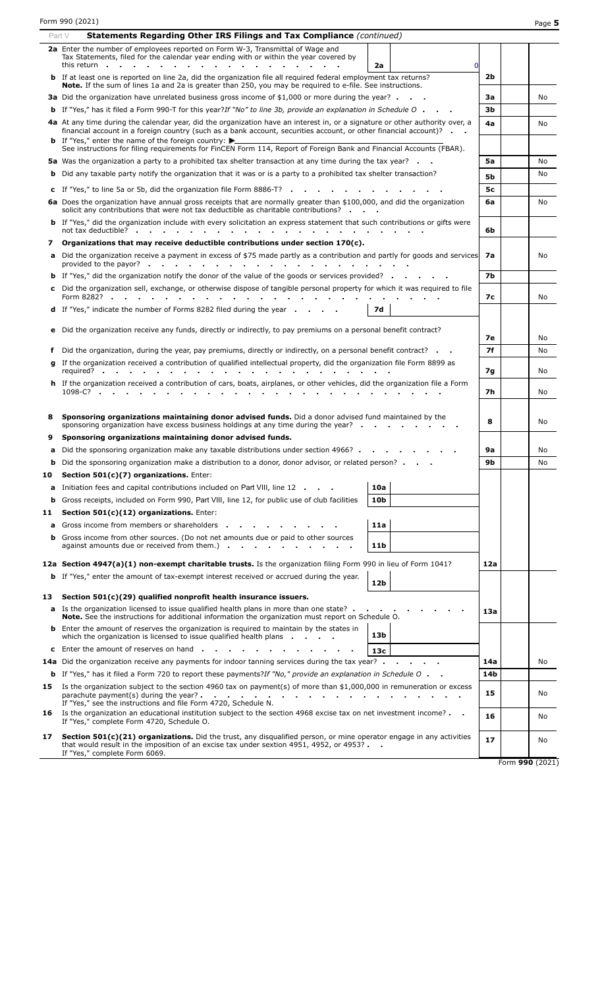|    | Form 990 (2021)                                                                                                                                                                                                                                                           |           | Page 5          |
|----|---------------------------------------------------------------------------------------------------------------------------------------------------------------------------------------------------------------------------------------------------------------------------|-----------|-----------------|
|    | Statements Regarding Other IRS Filings and Tax Compliance (continued)<br>Part V                                                                                                                                                                                           |           |                 |
|    | 2a Enter the number of employees reported on Form W-3, Transmittal of Wage and<br>Tax Statements, filed for the calendar year ending with or within the year covered by<br>this return.<br>2a<br>$\Omega$<br><b>College</b><br>$\sim$                                     |           |                 |
|    | <b>b</b> If at least one is reported on line 2a, did the organization file all required federal employment tax returns?<br>Note. If the sum of lines 1a and 2a is greater than 250, you may be required to e-file. See instructions.                                      | 2b        |                 |
|    | 3a Did the organization have unrelated business gross income of \$1,000 or more during the year?                                                                                                                                                                          | За        | No.             |
|    | <b>b</b> If "Yes," has it filed a Form 990-T for this year?If "No" to line 3b, provide an explanation in Schedule O                                                                                                                                                       | Зb        |                 |
|    | 4a At any time during the calendar year, did the organization have an interest in, or a signature or other authority over, a<br>financial account in a foreign country (such as a bank account, securities account, or other financial account)?                          | 4a        | No              |
|    | <b>b</b> If "Yes," enter the name of the foreign country: $\blacktriangleright$<br>See instructions for filing requirements for FinCEN Form 114, Report of Foreign Bank and Financial Accounts (FBAR).                                                                    |           |                 |
|    | <b>5a</b> Was the organization a party to a prohibited tax shelter transaction at any time during the tax year?                                                                                                                                                           | 5a        | No              |
|    | <b>b</b> Did any taxable party notify the organization that it was or is a party to a prohibited tax shelter transaction?                                                                                                                                                 | 5b        | No              |
|    | c If "Yes," to line 5a or 5b, did the organization file Form 8886-T? $\cdot$ $\cdot$ $\cdot$ $\cdot$                                                                                                                                                                      | 5c        |                 |
|    | 6a Does the organization have annual gross receipts that are normally greater than \$100,000, and did the organization                                                                                                                                                    | 6a        | No              |
|    | solicit any contributions that were not tax deductible as charitable contributions?                                                                                                                                                                                       |           |                 |
|    | <b>b</b> If "Yes," did the organization include with every solicitation an express statement that such contributions or gifts were<br>not tax deductible? .<br>and the company of the company of                                                                          | 6b        |                 |
| 7  | Organizations that may receive deductible contributions under section $170(c)$ .                                                                                                                                                                                          |           |                 |
|    | a Did the organization receive a payment in excess of \$75 made partly as a contribution and partly for goods and services<br>provided to the payor? .<br>the contract of the contract of the contract of the contract of the contract of the contract of the contract of | 7а        | No.             |
|    | <b>b</b> If "Yes," did the organization notify the donor of the value of the goods or services provided?                                                                                                                                                                  | 7b        |                 |
|    | c Did the organization sell, exchange, or otherwise dispose of tangible personal property for which it was required to file<br>Form 8282? .                                                                                                                               | 7с        | No              |
|    | <b>d</b> If "Yes," indicate the number of Forms 8282 filed during the year<br><b>7d</b>                                                                                                                                                                                   |           |                 |
|    | e Did the organization receive any funds, directly or indirectly, to pay premiums on a personal benefit contract?                                                                                                                                                         | 7е        | No              |
|    | f Did the organization, during the year, pay premiums, directly or indirectly, on a personal benefit contract?                                                                                                                                                            | <b>7f</b> | No              |
|    | g If the organization received a contribution of qualified intellectual property, did the organization file Form 8899 as                                                                                                                                                  |           |                 |
|    | required?                                                                                                                                                                                                                                                                 | 7g        | No              |
|    | h If the organization received a contribution of cars, boats, airplanes, or other vehicles, did the organization file a Form<br>1098-C?                                                                                                                                   | 7h        | No              |
| 8  | Sponsoring organizations maintaining donor advised funds. Did a donor advised fund maintained by the<br>sponsoring organization have excess business holdings at any time during the year? $\cdot \cdot \cdot$                                                            | 8         | No              |
| 9  | Sponsoring organizations maintaining donor advised funds.                                                                                                                                                                                                                 |           |                 |
| a  | Did the sponsoring organization make any taxable distributions under section 4966?                                                                                                                                                                                        | <b>9a</b> | No              |
|    | <b>b</b> Did the sponsoring organization make a distribution to a donor, donor advisor, or related person?                                                                                                                                                                | 9b        | No              |
| 10 | Section 501(c)(7) organizations. Enter:                                                                                                                                                                                                                                   |           |                 |
| a  | 10a<br>Initiation fees and capital contributions included on Part VIII, line 12                                                                                                                                                                                           |           |                 |
| b  | Gross receipts, included on Form 990, Part VIII, line 12, for public use of club facilities<br>10 <sub>b</sub>                                                                                                                                                            |           |                 |
| 11 | Section 501(c)(12) organizations. Enter:<br>Gross income from members or shareholders<br>11a                                                                                                                                                                              |           |                 |
| a  | <b>b</b> Gross income from other sources. (Do not net amounts due or paid to other sources<br>against amounts due or received from them.) $\cdot \cdot \cdot \cdot \cdot$<br>11b                                                                                          |           |                 |
|    | 12a Section 4947(a)(1) non-exempt charitable trusts. Is the organization filing Form 990 in lieu of Form 1041?                                                                                                                                                            | 12a       |                 |
|    | <b>b</b> If "Yes," enter the amount of tax-exempt interest received or accrued during the year.<br>12b                                                                                                                                                                    |           |                 |
| 13 | Section $501(c)(29)$ qualified nonprofit health insurance issuers.                                                                                                                                                                                                        |           |                 |
|    | <b>a</b> Is the organization licensed to issue qualified health plans in more than one state?<br><b>Note.</b> See the instructions for additional information the organization must report on Schedule O.                                                                 | 13a       |                 |
|    | <b>b</b> Enter the amount of reserves the organization is required to maintain by the states in<br>13 <sub>b</sub><br>which the organization is licensed to issue qualified health plans                                                                                  |           |                 |
|    | <b>c</b> Enter the amount of reserves on hand.<br>13 <sub>c</sub>                                                                                                                                                                                                         |           |                 |
|    | 14a Did the organization receive any payments for indoor tanning services during the tax year?                                                                                                                                                                            | 14a       | No.             |
|    | <b>b</b> If "Yes," has it filed a Form 720 to report these payments?If "No," provide an explanation in Schedule O                                                                                                                                                         | 14b       |                 |
| 15 | Is the organization subject to the section 4960 tax on payment(s) of more than $$1,000,000$ in remuneration or excess<br>parachute payment(s) during the year?.<br><b>Contract Contract</b><br>If "Yes," see the instructions and file Form 4720, Schedule N.             | 15        | No              |
| 16 | Is the organization an educational institution subject to the section 4968 excise tax on net investment income?<br>If "Yes," complete Form 4720, Schedule O.                                                                                                              | 16        | No              |
| 17 | <b>Section 501(c)(21) organizations.</b> Did the trust, any disqualified person, or mine operator engage in any activities<br>that would result in the imposition of an excise tax under sextion 4951, 4952, or 4953? $\blacksquare$                                      | 17        | No              |
|    | If "Yes," complete Form 6069.                                                                                                                                                                                                                                             |           | Form 990 (2021) |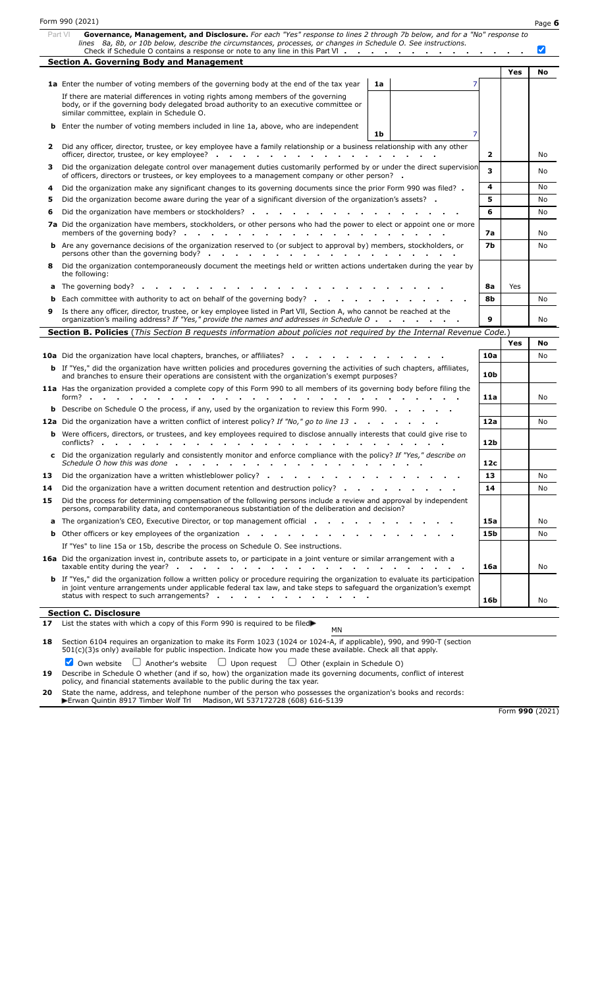|    | Form 990 (2021)                                                                                                                                                                                                                                                                                                                     |           |     | Page 6                       |
|----|-------------------------------------------------------------------------------------------------------------------------------------------------------------------------------------------------------------------------------------------------------------------------------------------------------------------------------------|-----------|-----|------------------------------|
|    | Governance, Management, and Disclosure. For each "Yes" response to lines 2 through 7b below, and for a "No" response to<br>Part VI<br>lines 8a, 8b, or 10b below, describe the circumstances, processes, or changes in Schedule O. See instructions.<br>Check if Schedule O contains a response or note to any line in this Part VI |           |     | $\boldsymbol{ \mathcal{p} }$ |
|    | <b>Section A. Governing Body and Management</b>                                                                                                                                                                                                                                                                                     |           |     |                              |
|    |                                                                                                                                                                                                                                                                                                                                     |           | Yes | No                           |
|    | 1a Enter the number of voting members of the governing body at the end of the tax year<br>1a                                                                                                                                                                                                                                        |           |     |                              |
|    | If there are material differences in voting rights among members of the governing<br>body, or if the governing body delegated broad authority to an executive committee or<br>similar committee, explain in Schedule O.                                                                                                             |           |     |                              |
|    | <b>b</b> Enter the number of voting members included in line 1a, above, who are independent<br>7<br>1b                                                                                                                                                                                                                              |           |     |                              |
| 2  | Did any officer, director, trustee, or key employee have a family relationship or a business relationship with any other<br>officer, director, trustee, or key employee?                                                                                                                                                            | 2         |     | No                           |
| з  | Did the organization delegate control over management duties customarily performed by or under the direct supervision<br>of officers, directors or trustees, or key employees to a management company or other person? .                                                                                                            | 3         |     | No                           |
| 4  | Did the organization make any significant changes to its governing documents since the prior Form 990 was filed? .                                                                                                                                                                                                                  | 4         |     | No                           |
| 5  | Did the organization become aware during the year of a significant diversion of the organization's assets?                                                                                                                                                                                                                          | 5         |     | No                           |
| 6  | Did the organization have members or stockholders?                                                                                                                                                                                                                                                                                  | 6         |     | No                           |
|    | 7a Did the organization have members, stockholders, or other persons who had the power to elect or appoint one or more                                                                                                                                                                                                              | 7a        |     | No                           |
|    | <b>b</b> Are any governance decisions of the organization reserved to (or subject to approval by) members, stockholders, or<br>persons other than the governing body?.<br>and a series of the contract of the contract of                                                                                                           | <b>7b</b> |     | No                           |
| 8  | Did the organization contemporaneously document the meetings held or written actions undertaken during the year by<br>the following:                                                                                                                                                                                                |           |     |                              |
|    | <b>a</b> The governing body? .                                                                                                                                                                                                                                                                                                      | 8а        | Yes |                              |
| b  | Each committee with authority to act on behalf of the governing body?                                                                                                                                                                                                                                                               | 8b        |     | No                           |
| 9  | Is there any officer, director, trustee, or key employee listed in Part VII, Section A, who cannot be reached at the<br>organization's mailing address? If "Yes," provide the names and addresses in Schedule O                                                                                                                     | 9         |     | No                           |
|    | Section B. Policies (This Section B requests information about policies not required by the Internal Revenue Code.)                                                                                                                                                                                                                 |           |     |                              |
|    |                                                                                                                                                                                                                                                                                                                                     |           | Yes | No                           |
|    | <b>10a</b> Did the organization have local chapters, branches, or affiliates? .                                                                                                                                                                                                                                                     | 10a       |     | No                           |
|    | <b>b</b> If "Yes," did the organization have written policies and procedures governing the activities of such chapters, affiliates,<br>and branches to ensure their operations are consistent with the organization's exempt purposes?                                                                                              | 10b       |     |                              |
|    | 11a Has the organization provided a complete copy of this Form 990 to all members of its governing body before filing the<br>$form?$ .<br>$\sim$ $\sim$ $\sim$                                                                                                                                                                      | 11a       |     | No                           |
|    | <b>b</b> Describe on Schedule O the process, if any, used by the organization to review this Form 990. $\cdot$                                                                                                                                                                                                                      |           |     |                              |
|    | 12a Did the organization have a written conflict of interest policy? If "No," go to line 13                                                                                                                                                                                                                                         | 12a       |     | No                           |
|    | <b>b</b> Were officers, directors, or trustees, and key employees required to disclose annually interests that could give rise to<br>conflicts?                                                                                                                                                                                     | 12b       |     |                              |
|    | c Did the organization regularly and consistently monitor and enforce compliance with the policy? If "Yes," describe on<br>Schedule O how this was done $\cdots$ , $\cdots$ , $\cdots$ , $\cdots$ , $\cdots$ , $\cdots$ , $\cdots$                                                                                                  | 12c       |     |                              |
| 13 | Did the organization have a written whistleblower policy?                                                                                                                                                                                                                                                                           | 13        |     | No                           |
| 14 | Did the organization have a written document retention and destruction policy? $\cdot \cdot \cdot$                                                                                                                                                                                                                                  | 14        |     | No                           |
| 15 | Did the process for determining compensation of the following persons include a review and approval by independent<br>persons, comparability data, and contemporaneous substantiation of the deliberation and decision?                                                                                                             |           |     |                              |
|    | a The organization's CEO, Executive Director, or top management official                                                                                                                                                                                                                                                            | 15a       |     | No                           |
|    | <b>b</b> Other officers or key employees of the organization                                                                                                                                                                                                                                                                        | 15b       |     | No                           |
|    | If "Yes" to line 15a or 15b, describe the process on Schedule O. See instructions.                                                                                                                                                                                                                                                  |           |     |                              |
|    | 16a Did the organization invest in, contribute assets to, or participate in a joint venture or similar arrangement with a<br>taxable entity during the year? $\cdots$ , $\cdots$ , $\cdots$ , $\cdots$ , $\cdots$ , $\cdots$ , $\cdots$ , $\cdots$ , $\cdots$                                                                       | 16a       |     | No                           |
|    | <b>b</b> If "Yes," did the organization follow a written policy or procedure requiring the organization to evaluate its participation<br>in joint venture arrangements under applicable federal tax law, and take steps to safeguard the organization's exempt<br>status with respect to such arrangements?                         | 16b       |     | No                           |
|    |                                                                                                                                                                                                                                                                                                                                     |           |     |                              |
|    | <b>Section C. Disclosure</b><br>17 List the states with which a copy of this Form 990 is required to be filed                                                                                                                                                                                                                       |           |     |                              |

**18** Section 6104 requires an organization to make its Form 1023 (1024 or 1024-A, if applicable), 990, and 990-T (section 501(c)(3)s only) available for public inspection. Indicate how you made these available. Check all that apply.

Own website  $\Box$  Another's website  $\Box$  Upon request  $\Box$  Other (explain in Schedule O)

**19** Describe in Schedule O whether (and if so, how) the organization made its governing documents, conflict of interest policy, and financial statements available to the public during the tax year.

**20** State the name, address, and telephone number of the person who possesses the organization's books and records:

Erwan Quintin 8917 Timber Wolf Trl Madison, WI 537172728 (608) 616-5139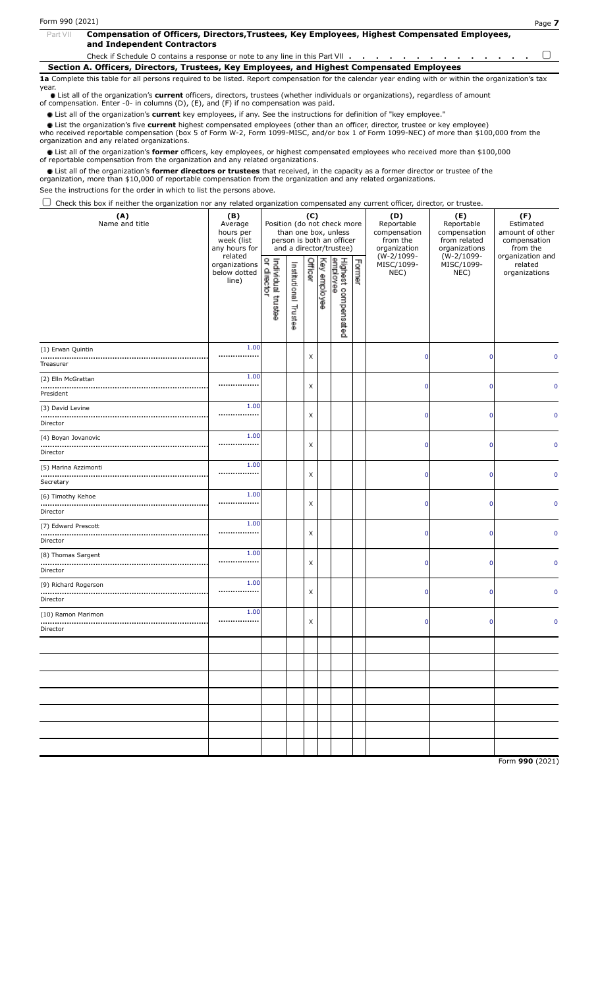| Part VII | Compensation of Officers, Directors, Trustees, Key Employees, Highest Compensated Employees,<br>and Independent Contractors       |  |  |  |  |  |  |  |  |  |  |
|----------|-----------------------------------------------------------------------------------------------------------------------------------|--|--|--|--|--|--|--|--|--|--|
|          | Check if Schedule O contains a response or note to any line in this Part VII $\cdots$ , $\cdots$ , $\cdots$ , $\cdots$ , $\cdots$ |  |  |  |  |  |  |  |  |  |  |

**Section A. Officers, Directors, Trustees, Key Employees, and Highest Compensated Employees**

**1a** Complete this table for all persons required to be listed. Report compensation for the calendar year ending with or within the organization's tax year.

List all of the organization's **current** officers, directors, trustees (whether individuals or organizations), regardless of amount of compensation. Enter -0- in columns (D), (E), and (F) if no compensation was paid.

List all of the organization's **current** key employees, if any. See the instructions for definition of "key employee."

List the organization's five **current** highest compensated employees (other than an officer, director, trustee or key employee)

who received reportable compensation (box 5 of Form W-2, Form 1099-MISC, and/or box 1 of Form 1099-NEC) of more than \$100,000 from the organization and any related organizations.

List all of the organization's **former** officers, key employees, or highest compensated employees who received more than \$100,000 of reportable compensation from the organization and any related organizations.

List all of the organization's **former directors or trustees** that received, in the capacity as a former director or trustee of the organization, more than \$10,000 of reportable compensation from the organization and any related organizations.

See the instructions for the order in which to list the persons above.

 $\Box$  Check this box if neither the organization nor any related organization compensated any current officer, director, or trustee.

| (A)<br>Name and title                 | (B)<br>Average<br>hours per<br>week (list<br>any hours for | Position (do not check more         |                               | (C)     |              | than one box, unless<br>person is both an officer<br>and a director/trustee) |        | (D)<br>Reportable<br>compensation<br>from the<br>organization | (E)<br>Reportable<br>compensation<br>from related<br>organizations | (F)<br>Estimated<br>amount of other<br>compensation<br>from the |  |
|---------------------------------------|------------------------------------------------------------|-------------------------------------|-------------------------------|---------|--------------|------------------------------------------------------------------------------|--------|---------------------------------------------------------------|--------------------------------------------------------------------|-----------------------------------------------------------------|--|
|                                       | related<br>organizations<br>below dotted<br>line)          | ą<br>Individual trustee<br>director | Institutional<br>Truster<br>œ | Officer | Key employee | Highest compensated<br>employee                                              | Former | (W-2/1099-<br>MISC/1099-<br>NEC)                              | (W-2/1099-<br>MISC/1099-<br>NEC)                                   | organization and<br>related<br>organizations                    |  |
| (1) Erwan Quintin<br>Treasurer        | 1.00<br>                                                   |                                     |                               | X       |              |                                                                              |        | $\mathbf 0$                                                   | $\mathbf 0$                                                        |                                                                 |  |
| (2) Elln McGrattan<br>President       | 1.00<br>,,,,,,,,,,,,,,,,                                   |                                     |                               | X       |              |                                                                              |        | 0                                                             | $\mathbf 0$                                                        | n                                                               |  |
| (3) David Levine<br><br>Director      | 1.00<br>                                                   |                                     |                               | X       |              |                                                                              |        | $\mathbf 0$                                                   | $\Omega$                                                           | n                                                               |  |
| (4) Boyan Jovanovic<br><br>Director   | 1.00<br>                                                   |                                     |                               | X       |              |                                                                              |        | $\mathbf 0$                                                   | $\mathbf 0$                                                        | $\Omega$                                                        |  |
| (5) Marina Azzimonti<br><br>Secretary | 1.00<br>                                                   |                                     |                               | X       |              |                                                                              |        | $\mathbf 0$                                                   | $\Omega$                                                           | n                                                               |  |
| (6) Timothy Kehoe<br><br>Director     | 1.00<br>                                                   |                                     |                               | X       |              |                                                                              |        | $\mathbf 0$                                                   | $\mathbf 0$                                                        | n                                                               |  |
| (7) Edward Prescott<br>Director       | 1.00<br>,,,,,,,,,,,,,,,,                                   |                                     |                               | X       |              |                                                                              |        | $\mathbf 0$                                                   | 0                                                                  | 0                                                               |  |
| (8) Thomas Sargent<br><br>Director    | 1.00<br>,,,,,,,,,,,,,,,,                                   |                                     |                               | X       |              |                                                                              |        | $\mathbf 0$                                                   | $\mathbf 0$                                                        | n                                                               |  |
| (9) Richard Rogerson<br>Director      | 1.00<br>                                                   |                                     |                               | X       |              |                                                                              |        | $\mathbf 0$                                                   | $\mathbf 0$                                                        | $\Omega$                                                        |  |
| (10) Ramon Marimon<br><br>Director    | 1.00<br>                                                   |                                     |                               | X       |              |                                                                              |        | $\mathbf 0$                                                   | 0                                                                  | n                                                               |  |
|                                       |                                                            |                                     |                               |         |              |                                                                              |        |                                                               |                                                                    |                                                                 |  |
|                                       |                                                            |                                     |                               |         |              |                                                                              |        |                                                               |                                                                    |                                                                 |  |
|                                       |                                                            |                                     |                               |         |              |                                                                              |        |                                                               |                                                                    |                                                                 |  |
|                                       |                                                            |                                     |                               |         |              |                                                                              |        |                                                               |                                                                    |                                                                 |  |
|                                       |                                                            |                                     |                               |         |              |                                                                              |        |                                                               |                                                                    |                                                                 |  |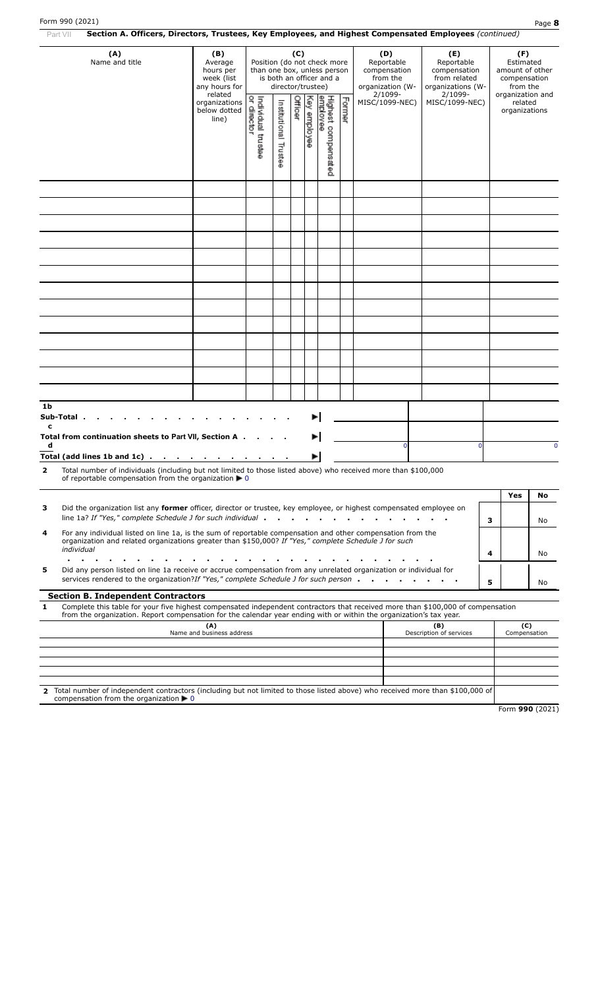| Section A. Officers, Directors, Trustees, Key Employees, and Highest Compensated Employees (continued)<br>Part VII                                                                                                                                                                                       |                                                                       |                                                                                                                                                                                             |                          |         |              |                                    |        |  |                |                                                                                   |          |                                                                                     |             |
|----------------------------------------------------------------------------------------------------------------------------------------------------------------------------------------------------------------------------------------------------------------------------------------------------------|-----------------------------------------------------------------------|---------------------------------------------------------------------------------------------------------------------------------------------------------------------------------------------|--------------------------|---------|--------------|------------------------------------|--------|--|----------------|-----------------------------------------------------------------------------------|----------|-------------------------------------------------------------------------------------|-------------|
| (A)<br>Name and title                                                                                                                                                                                                                                                                                    | (B)<br>Average<br>hours per<br>week (list<br>any hours for<br>related | (C)<br>Position (do not check more<br>Reportable<br>than one box, unless person<br>compensation<br>is both an officer and a<br>from the<br>director/trustee)<br>organization (W-<br>2/1099- |                          |         |              |                                    |        |  |                | (E)<br>Reportable<br>compensation<br>from related<br>organizations (W-<br>2/1099- |          | (F)<br>Estimated<br>amount of other<br>compensation<br>from the<br>organization and |             |
|                                                                                                                                                                                                                                                                                                          | organizations<br>below dotted<br>line)                                | Individual trustee<br>or director                                                                                                                                                           | Institutional<br>Trustee | Officer | Key employee | Highest compensat<br>employee<br>2 | Former |  | MISC/1099-NEC) | MISC/1099-NEC)                                                                    |          | related<br>organizations                                                            |             |
|                                                                                                                                                                                                                                                                                                          |                                                                       |                                                                                                                                                                                             |                          |         |              |                                    |        |  |                |                                                                                   |          |                                                                                     |             |
|                                                                                                                                                                                                                                                                                                          |                                                                       |                                                                                                                                                                                             |                          |         |              |                                    |        |  |                |                                                                                   |          |                                                                                     |             |
|                                                                                                                                                                                                                                                                                                          |                                                                       |                                                                                                                                                                                             |                          |         |              |                                    |        |  |                |                                                                                   |          |                                                                                     |             |
|                                                                                                                                                                                                                                                                                                          |                                                                       |                                                                                                                                                                                             |                          |         |              |                                    |        |  |                |                                                                                   |          |                                                                                     |             |
|                                                                                                                                                                                                                                                                                                          |                                                                       |                                                                                                                                                                                             |                          |         |              |                                    |        |  |                |                                                                                   |          |                                                                                     |             |
|                                                                                                                                                                                                                                                                                                          |                                                                       |                                                                                                                                                                                             |                          |         |              |                                    |        |  |                |                                                                                   |          |                                                                                     |             |
|                                                                                                                                                                                                                                                                                                          |                                                                       |                                                                                                                                                                                             |                          |         |              |                                    |        |  |                |                                                                                   |          |                                                                                     |             |
|                                                                                                                                                                                                                                                                                                          |                                                                       |                                                                                                                                                                                             |                          |         |              |                                    |        |  |                |                                                                                   |          |                                                                                     |             |
|                                                                                                                                                                                                                                                                                                          |                                                                       |                                                                                                                                                                                             |                          |         |              |                                    |        |  |                |                                                                                   |          |                                                                                     |             |
|                                                                                                                                                                                                                                                                                                          |                                                                       |                                                                                                                                                                                             |                          |         |              |                                    |        |  |                |                                                                                   |          |                                                                                     |             |
|                                                                                                                                                                                                                                                                                                          |                                                                       |                                                                                                                                                                                             |                          |         |              |                                    |        |  |                |                                                                                   |          |                                                                                     |             |
| 1b<br>Sub-Total.                                                                                                                                                                                                                                                                                         |                                                                       |                                                                                                                                                                                             |                          |         |              |                                    |        |  |                |                                                                                   |          |                                                                                     |             |
| c<br>Total from continuation sheets to Part VII, Section A.<br>d                                                                                                                                                                                                                                         |                                                                       |                                                                                                                                                                                             |                          |         |              |                                    |        |  | $\Omega$       |                                                                                   | $\Omega$ |                                                                                     | $\mathbf 0$ |
| Total (add lines 1b and 1c) $\cdots$ $\cdots$ $\cdots$ $\cdots$                                                                                                                                                                                                                                          |                                                                       |                                                                                                                                                                                             |                          |         | ▶            |                                    |        |  |                |                                                                                   |          |                                                                                     |             |
| Total number of individuals (including but not limited to those listed above) who received more than \$100,000<br>$\overline{2}$<br>of reportable compensation from the organization $\blacktriangleright$ 0                                                                                             |                                                                       |                                                                                                                                                                                             |                          |         |              |                                    |        |  |                |                                                                                   |          |                                                                                     |             |
|                                                                                                                                                                                                                                                                                                          |                                                                       |                                                                                                                                                                                             |                          |         |              |                                    |        |  |                |                                                                                   |          | Yes                                                                                 | No          |
| Did the organization list any former officer, director or trustee, key employee, or highest compensated employee on<br>з<br>line 1a? If "Yes," complete Schedule J for such individual .                                                                                                                 |                                                                       |                                                                                                                                                                                             |                          |         |              |                                    |        |  |                |                                                                                   | з        |                                                                                     | No          |
| For any individual listed on line 1a, is the sum of reportable compensation and other compensation from the<br>4<br>organization and related organizations greater than \$150,000? If "Yes," complete Schedule J for such<br>individual                                                                  |                                                                       |                                                                                                                                                                                             |                          |         |              |                                    |        |  |                |                                                                                   | 4        |                                                                                     | No          |
| Did any person listed on line 1a receive or accrue compensation from any unrelated organization or individual for<br>5                                                                                                                                                                                   |                                                                       |                                                                                                                                                                                             |                          |         |              |                                    |        |  |                |                                                                                   |          |                                                                                     |             |
| services rendered to the organization?If "Yes," complete Schedule J for such person.                                                                                                                                                                                                                     |                                                                       |                                                                                                                                                                                             |                          |         |              |                                    |        |  |                |                                                                                   | 5        |                                                                                     | No          |
| <b>Section B. Independent Contractors</b><br>Complete this table for your five highest compensated independent contractors that received more than \$100,000 of compensation<br>1<br>from the organization. Report compensation for the calendar year ending with or within the organization's tax year. |                                                                       |                                                                                                                                                                                             |                          |         |              |                                    |        |  |                |                                                                                   |          |                                                                                     |             |
|                                                                                                                                                                                                                                                                                                          | (A)<br>Name and business address                                      |                                                                                                                                                                                             |                          |         |              |                                    |        |  |                | (B)<br>Description of services                                                    |          | (C)<br>Compensation                                                                 |             |
|                                                                                                                                                                                                                                                                                                          |                                                                       |                                                                                                                                                                                             |                          |         |              |                                    |        |  |                |                                                                                   |          |                                                                                     |             |
|                                                                                                                                                                                                                                                                                                          |                                                                       |                                                                                                                                                                                             |                          |         |              |                                    |        |  |                |                                                                                   |          |                                                                                     |             |
| Total number of independent contractors (including but not limited to those listed above) who received more than \$100,000 of<br>2                                                                                                                                                                       |                                                                       |                                                                                                                                                                                             |                          |         |              |                                    |        |  |                |                                                                                   |          |                                                                                     |             |
| compensation from the organization $\blacktriangleright$ 0                                                                                                                                                                                                                                               |                                                                       |                                                                                                                                                                                             |                          |         |              |                                    |        |  |                |                                                                                   |          |                                                                                     |             |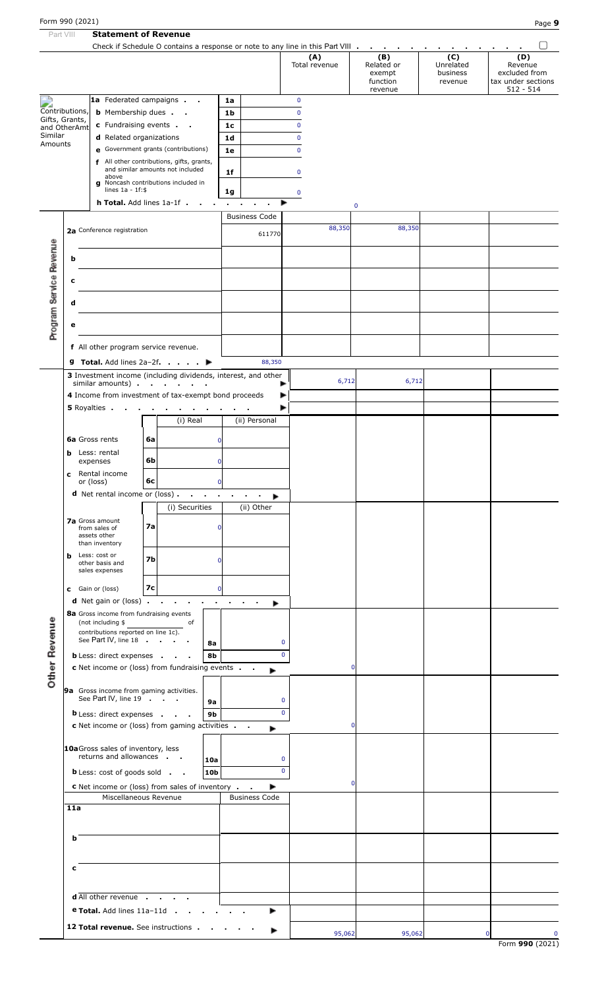| Part VIII                |                                  |                                                             | <b>Statement of Revenue</b>                                                     |                                                         |                      |                      |                                                    |                                         |                                                                      |
|--------------------------|----------------------------------|-------------------------------------------------------------|---------------------------------------------------------------------------------|---------------------------------------------------------|----------------------|----------------------|----------------------------------------------------|-----------------------------------------|----------------------------------------------------------------------|
|                          |                                  |                                                             | Check if Schedule O contains a response or note to any line in this Part VIII . |                                                         |                      |                      | $\sim$<br>$\sim$ 100 $\sim$ 100 $\sim$             |                                         |                                                                      |
|                          |                                  |                                                             |                                                                                 |                                                         |                      | (A)<br>Total revenue | (B)<br>Related or<br>exempt<br>function<br>revenue | (C)<br>Unrelated<br>business<br>revenue | (D)<br>Revenue<br>excluded from<br>tax under sections<br>$512 - 514$ |
| $\overline{\phantom{a}}$ |                                  |                                                             | 1a Federated campaigns                                                          | 1a                                                      |                      | $\bf{0}$             |                                                    |                                         |                                                                      |
|                          | Contributions,<br>Gifts, Grants, |                                                             | <b>b</b> Membership dues                                                        | 1b                                                      |                      | $\mathbf{0}$         |                                                    |                                         |                                                                      |
|                          | and OtherAmt                     |                                                             | c Fundraising events                                                            | 1 <sub>c</sub>                                          |                      | $\mathbf 0$          |                                                    |                                         |                                                                      |
| Similar<br>Amounts       |                                  | d Related organizations                                     |                                                                                 | 1 <sub>d</sub>                                          |                      | $\mathbf 0$          |                                                    |                                         |                                                                      |
|                          |                                  |                                                             | e Government grants (contributions)                                             | 1e                                                      |                      | 0                    |                                                    |                                         |                                                                      |
|                          |                                  |                                                             | f All other contributions, gifts, grants,<br>and similar amounts not included   | 1f                                                      |                      | 0                    |                                                    |                                         |                                                                      |
|                          |                                  | above                                                       | <b>q</b> Noncash contributions included in                                      |                                                         |                      |                      |                                                    |                                         |                                                                      |
|                          |                                  | lines $1a - 1f$ : \$                                        |                                                                                 | 1g                                                      |                      |                      |                                                    |                                         |                                                                      |
|                          |                                  |                                                             | h Total. Add lines 1a-1f.                                                       |                                                         |                      |                      | $\mathbf 0$                                        |                                         |                                                                      |
|                          |                                  |                                                             |                                                                                 |                                                         | <b>Business Code</b> |                      |                                                    |                                         |                                                                      |
|                          |                                  | 2a Conference registration                                  |                                                                                 |                                                         | 611770               | 88,350               | 88,350                                             |                                         |                                                                      |
|                          |                                  |                                                             |                                                                                 |                                                         |                      |                      |                                                    |                                         |                                                                      |
|                          | b                                |                                                             |                                                                                 |                                                         |                      |                      |                                                    |                                         |                                                                      |
|                          | c                                |                                                             |                                                                                 |                                                         |                      |                      |                                                    |                                         |                                                                      |
|                          |                                  |                                                             |                                                                                 |                                                         |                      |                      |                                                    |                                         |                                                                      |
|                          | d                                |                                                             |                                                                                 |                                                         |                      |                      |                                                    |                                         |                                                                      |
| Program Service Revenue  |                                  |                                                             |                                                                                 |                                                         |                      |                      |                                                    |                                         |                                                                      |
|                          | е                                |                                                             |                                                                                 |                                                         |                      |                      |                                                    |                                         |                                                                      |
|                          |                                  |                                                             | f All other program service revenue.                                            |                                                         |                      |                      |                                                    |                                         |                                                                      |
|                          |                                  |                                                             | <b>9 Total.</b> Add lines $2a-2f$ . $\blacktriangleright$                       |                                                         | 88,350               |                      |                                                    |                                         |                                                                      |
|                          |                                  |                                                             | 3 Investment income (including dividends, interest, and other                   |                                                         |                      |                      |                                                    |                                         |                                                                      |
|                          |                                  |                                                             | similar amounts)                                                                |                                                         |                      | 6,712<br>▶           | 6,712                                              |                                         |                                                                      |
|                          |                                  |                                                             | 4 Income from investment of tax-exempt bond proceeds                            |                                                         |                      | ▶                    |                                                    |                                         |                                                                      |
|                          |                                  | 5 Royalties .                                               | $\sim 10^{-1}$<br>the contract of the con-<br>(i) Real                          | $\sim$                                                  | (ii) Personal        | ▶                    |                                                    |                                         |                                                                      |
|                          |                                  |                                                             |                                                                                 |                                                         |                      |                      |                                                    |                                         |                                                                      |
|                          |                                  | 6a Gross rents                                              | 6а                                                                              | $\Omega$                                                |                      |                      |                                                    |                                         |                                                                      |
|                          | b                                | Less: rental<br>expenses                                    | 6b                                                                              | $\mathbf 0$                                             |                      |                      |                                                    |                                         |                                                                      |
|                          | c                                | Rental income                                               |                                                                                 |                                                         |                      |                      |                                                    |                                         |                                                                      |
|                          |                                  | or (loss)                                                   | 6с                                                                              | $\Omega$                                                |                      |                      |                                                    |                                         |                                                                      |
|                          |                                  | d Net rental income or (loss).                              | $\sim$                                                                          | $\sim 10$<br>$\mathbf{r} = \mathbf{r} \cdot \mathbf{r}$ | ٠                    |                      |                                                    |                                         |                                                                      |
|                          |                                  |                                                             | (i) Securities                                                                  |                                                         | (ii) Other           |                      |                                                    |                                         |                                                                      |
|                          |                                  | 7a Gross amount<br>from sales of                            | 7а                                                                              | n                                                       |                      |                      |                                                    |                                         |                                                                      |
|                          |                                  | assets other<br>than inventory                              |                                                                                 |                                                         |                      |                      |                                                    |                                         |                                                                      |
|                          | ь                                | Less: cost or                                               | 7b                                                                              |                                                         |                      |                      |                                                    |                                         |                                                                      |
|                          |                                  | other basis and<br>sales expenses                           |                                                                                 |                                                         |                      |                      |                                                    |                                         |                                                                      |
|                          |                                  | <b>c</b> Gain or (loss)                                     | 7с                                                                              | $\Omega$                                                |                      |                      |                                                    |                                         |                                                                      |
|                          |                                  |                                                             | <b>d</b> Net gain or (loss) $\cdot \cdot \cdot \cdot \cdot$                     | $\sim$<br>$\blacksquare$                                | ►                    |                      |                                                    |                                         |                                                                      |
|                          |                                  |                                                             | 8a Gross income from fundraising events                                         |                                                         |                      |                      |                                                    |                                         |                                                                      |
|                          |                                  | (not including \$<br>contributions reported on line 1c).    | of                                                                              |                                                         |                      |                      |                                                    |                                         |                                                                      |
|                          |                                  | See Part IV, line 18.                                       | $\mathbf{r}$<br>8a                                                              |                                                         |                      | 0                    |                                                    |                                         |                                                                      |
|                          |                                  | <b>b</b> Less: direct expenses                              | 8b                                                                              |                                                         |                      | $\mathbf{0}$         |                                                    |                                         |                                                                      |
| Other Revenue            |                                  |                                                             | c Net income or (loss) from fundraising events                                  |                                                         | ►                    |                      |                                                    |                                         |                                                                      |
|                          |                                  |                                                             | 9a Gross income from gaming activities.                                         |                                                         |                      |                      |                                                    |                                         |                                                                      |
|                          |                                  | See Part IV, line 19                                        | <b>9a</b>                                                                       |                                                         |                      | 0                    |                                                    |                                         |                                                                      |
|                          |                                  |                                                             | <b>b</b> Less: direct expenses<br>9b                                            |                                                         |                      | $\mathbf{0}$         |                                                    |                                         |                                                                      |
|                          |                                  |                                                             | c Net income or (loss) from gaming activities                                   |                                                         | ►                    |                      | 0                                                  |                                         |                                                                      |
|                          |                                  |                                                             |                                                                                 |                                                         |                      |                      |                                                    |                                         |                                                                      |
|                          |                                  | 10aGross sales of inventory, less<br>returns and allowances | 10a                                                                             |                                                         |                      | 0                    |                                                    |                                         |                                                                      |
|                          |                                  | <b>b</b> Less: cost of goods sold                           | 10b                                                                             |                                                         |                      | $\mathbf{0}$         |                                                    |                                         |                                                                      |
|                          |                                  |                                                             | <b>c</b> Net income or (loss) from sales of inventory                           |                                                         |                      |                      | 0                                                  |                                         |                                                                      |
|                          |                                  |                                                             | Miscellaneous Revenue                                                           |                                                         | <b>Business Code</b> |                      |                                                    |                                         |                                                                      |
|                          | 11a                              |                                                             |                                                                                 |                                                         |                      |                      |                                                    |                                         |                                                                      |
|                          |                                  |                                                             |                                                                                 |                                                         |                      |                      |                                                    |                                         |                                                                      |
|                          | b                                |                                                             |                                                                                 |                                                         |                      |                      |                                                    |                                         |                                                                      |
|                          |                                  |                                                             |                                                                                 |                                                         |                      |                      |                                                    |                                         |                                                                      |
|                          | c                                |                                                             |                                                                                 |                                                         |                      |                      |                                                    |                                         |                                                                      |
|                          |                                  |                                                             |                                                                                 |                                                         |                      |                      |                                                    |                                         |                                                                      |
|                          |                                  | <b>d</b> All other revenue .                                |                                                                                 |                                                         |                      |                      |                                                    |                                         |                                                                      |
|                          |                                  | e Total. Add lines 11a-11d                                  | $\sim$                                                                          |                                                         |                      |                      |                                                    |                                         |                                                                      |
|                          |                                  |                                                             | 12 Total revenue. See instructions.                                             |                                                         |                      |                      |                                                    |                                         |                                                                      |
|                          |                                  |                                                             |                                                                                 |                                                         |                      | 95,062               | 95,062                                             |                                         | $\mathbf{0}$<br>$\mathbf 0$                                          |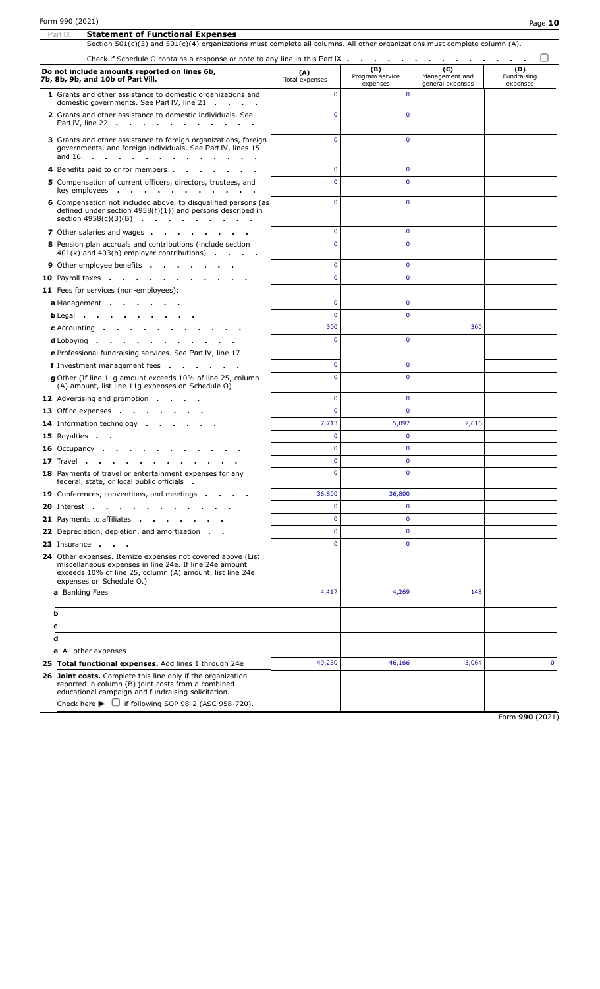|   | Section $501(c)(3)$ and $501(c)(4)$ organizations must complete all columns. All other organizations must complete column (A).                                                                                                                          |                       |                                    |                                           |                                |
|---|---------------------------------------------------------------------------------------------------------------------------------------------------------------------------------------------------------------------------------------------------------|-----------------------|------------------------------------|-------------------------------------------|--------------------------------|
|   |                                                                                                                                                                                                                                                         |                       |                                    |                                           |                                |
|   | Do not include amounts reported on lines 6b,<br>7b, 8b, 9b, and 10b of Part VIII.                                                                                                                                                                       | (A)<br>Total expenses | (B)<br>Program service<br>expenses | (C)<br>Management and<br>general expenses | (D)<br>Fundraising<br>expenses |
|   | 1 Grants and other assistance to domestic organizations and<br>domestic governments. See Part IV, line 21                                                                                                                                               | $\Omega$              | $\Omega$                           |                                           |                                |
|   | 2 Grants and other assistance to domestic individuals. See<br>Part IV, line 22                                                                                                                                                                          | $\Omega$              | $\Omega$                           |                                           |                                |
|   | 3 Grants and other assistance to foreign organizations, foreign<br>governments, and foreign individuals. See Part IV, lines 15<br>and $16.$ $\cdots$ $\cdots$ $\cdots$ $\cdots$                                                                         | $\Omega$              | $\Omega$                           |                                           |                                |
|   | 4 Benefits paid to or for members.<br>$\sim$                                                                                                                                                                                                            | $\mathbf{0}$          | $\overline{0}$                     |                                           |                                |
|   | 5 Compensation of current officers, directors, trustees, and<br>key employees                                                                                                                                                                           | $\Omega$              | $\Omega$                           |                                           |                                |
|   | 6 Compensation not included above, to disqualified persons (as<br>defined under section $4958(f)(1)$ ) and persons described in<br>section 4958(c)(3)(B)                                                                                                | $\Omega$              | $\mathbf{0}$                       |                                           |                                |
|   | 7 Other salaries and wages                                                                                                                                                                                                                              | $\mathbf 0$           | $\mathbf{0}$                       |                                           |                                |
|   | 8 Pension plan accruals and contributions (include section<br>$401(k)$ and $403(b)$ employer contributions) $\cdots$                                                                                                                                    | $\Omega$              | $\Omega$                           |                                           |                                |
|   | <b>9</b> Other employee benefits                                                                                                                                                                                                                        | $\mathbf 0$           | $\mathbf{0}$                       |                                           |                                |
|   | 10 Payroll taxes                                                                                                                                                                                                                                        | $\Omega$              | $\Omega$                           |                                           |                                |
|   | 11 Fees for services (non-employees):                                                                                                                                                                                                                   |                       |                                    |                                           |                                |
|   | a Management                                                                                                                                                                                                                                            | $\mathbf{0}$          | $\overline{0}$                     |                                           |                                |
|   | $b$ Legal $\cdots$ $\cdots$ $\cdots$                                                                                                                                                                                                                    | $\Omega$              | $\Omega$                           |                                           |                                |
|   | <b>c</b> Accounting $\blacksquare$<br><b>Contract Contract</b>                                                                                                                                                                                          | 300                   |                                    | 300                                       |                                |
|   | <b>d</b> Lobbying $\cdot$ $\cdot$<br><b>Contract Contract Contract</b>                                                                                                                                                                                  | $\mathbf{0}$          | $\mathbf 0$                        |                                           |                                |
|   | e Professional fundraising services. See Part IV, line 17                                                                                                                                                                                               |                       |                                    |                                           |                                |
|   | f Investment management fees                                                                                                                                                                                                                            | $\mathbf 0$           | $\mathbf 0$                        |                                           |                                |
|   | g Other (If line 11g amount exceeds 10% of line 25, column<br>(A) amount, list line 11g expenses on Schedule O)                                                                                                                                         | $\Omega$              | $\Omega$                           |                                           |                                |
|   | <b>12</b> Advertising and promotion                                                                                                                                                                                                                     | $\mathbf{0}$          | $\Omega$                           |                                           |                                |
|   | <b>13</b> Office expenses                                                                                                                                                                                                                               | $\mathbf{0}$          | $\Omega$                           |                                           |                                |
|   | 14 Information technology                                                                                                                                                                                                                               | 7,713                 | 5,097                              | 2,616                                     |                                |
|   | 15 Royalties                                                                                                                                                                                                                                            | $\mathbf{0}$          | $\overline{0}$                     |                                           |                                |
|   | <b>16</b> Occupancy .                                                                                                                                                                                                                                   | $\mathbf{0}$          | $\overline{0}$                     |                                           |                                |
|   | <b>17</b> Travel                                                                                                                                                                                                                                        | $\mathbf{0}$          | $\overline{0}$                     |                                           |                                |
|   | 18 Payments of travel or entertainment expenses for any<br>federal, state, or local public officials.                                                                                                                                                   | 0                     | 0                                  |                                           |                                |
|   | 19 Conferences, conventions, and meetings.                                                                                                                                                                                                              | 36,800                | 36,800                             |                                           |                                |
|   | <b>20</b> Interest                                                                                                                                                                                                                                      | $\mathbf 0$           | $\overline{0}$                     |                                           |                                |
|   | 21 Payments to affiliates                                                                                                                                                                                                                               | $\mathbf 0$           | $\overline{0}$                     |                                           |                                |
|   | <b>22</b> Depreciation, depletion, and amortization.                                                                                                                                                                                                    | $\mathbf{0}$          | $\overline{0}$                     |                                           |                                |
|   | 23 Insurance                                                                                                                                                                                                                                            | $\mathbf{0}$          | $\Omega$                           |                                           |                                |
|   | 24 Other expenses. Itemize expenses not covered above (List<br>miscellaneous expenses in line 24e. If line 24e amount<br>exceeds 10% of line 25, column (A) amount, list line 24e<br>expenses on Schedule O.)                                           |                       |                                    |                                           |                                |
|   | a Banking Fees                                                                                                                                                                                                                                          | 4,417                 | 4,269                              | 148                                       |                                |
| b |                                                                                                                                                                                                                                                         |                       |                                    |                                           |                                |
| c |                                                                                                                                                                                                                                                         |                       |                                    |                                           |                                |
| d |                                                                                                                                                                                                                                                         |                       |                                    |                                           |                                |
|   | <b>e</b> All other expenses                                                                                                                                                                                                                             |                       |                                    |                                           |                                |
|   | 25 Total functional expenses. Add lines 1 through 24e                                                                                                                                                                                                   | 49,230                | 46,166                             | 3,064                                     | $\mathbf{0}$                   |
|   | 26 Joint costs. Complete this line only if the organization<br>reported in column (B) joint costs from a combined<br>educational campaign and fundraising solicitation.<br>Check here $\blacktriangleright$ $\Box$ if following SOP 98-2 (ASC 958-720). |                       |                                    |                                           |                                |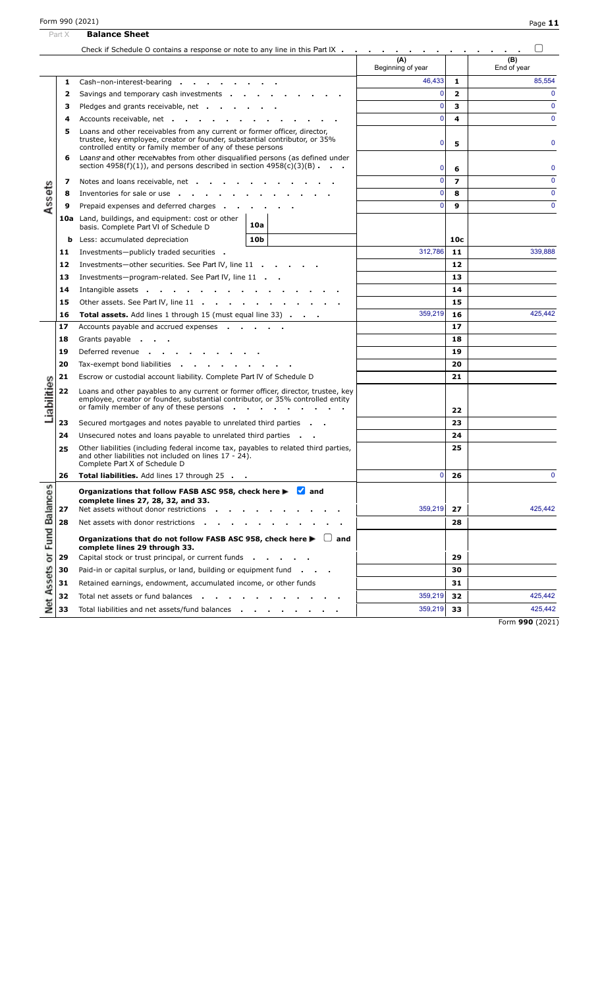|                         | Part X | <b>Balance Sheet</b>                                                                                                                                                                                                  |                          |                          |                    |
|-------------------------|--------|-----------------------------------------------------------------------------------------------------------------------------------------------------------------------------------------------------------------------|--------------------------|--------------------------|--------------------|
|                         |        | Check if Schedule O contains a response or note to any line in this Part IX                                                                                                                                           |                          |                          |                    |
|                         |        |                                                                                                                                                                                                                       | (A)<br>Beginning of year |                          | (B)<br>End of year |
|                         | 1      | Cash-non-interest-bearing                                                                                                                                                                                             | 46,433                   | 1                        | 85,554             |
|                         | 2      | Savings and temporary cash investments                                                                                                                                                                                | $\mathbf{0}$             | $\overline{2}$           | $\Omega$           |
|                         | з      | Pledges and grants receivable, net                                                                                                                                                                                    | $\mathbf{0}$             | 3                        | $\mathbf 0$        |
|                         | 4      | Accounts receivable, net                                                                                                                                                                                              | $\Omega$                 | 4                        | $\mathbf{0}$       |
|                         | 5      | Loans and other receivables from any current or former officer, director,<br>trustee, key employee, creator or founder, substantial contributor, or 35%<br>controlled entity or family member of any of these persons | 5                        | $\mathbf 0$              |                    |
|                         | 6      | Loans and other receivables from other disqualified persons (as defined under<br>section $4958(f)(1)$ , and persons described in section $4958(c)(3)(B)$ .                                                            | $\mathbf{0}$             | 6                        | $\mathbf 0$        |
|                         | 7      | Notes and loans receivable, net                                                                                                                                                                                       | $\Omega$                 | $\overline{\phantom{a}}$ | $\Omega$           |
| Assets                  | 8      | Inventories for sale or use                                                                                                                                                                                           | $\Omega$                 | 8                        | $\mathbf 0$        |
|                         | 9      | Prepaid expenses and deferred charges                                                                                                                                                                                 | $\Omega$                 | 9                        | $\mathbf{0}$       |
|                         |        | 10a Land, buildings, and equipment: cost or other<br>10a<br>basis. Complete Part VI of Schedule D                                                                                                                     |                          |                          |                    |
|                         | b      | 10 <sub>b</sub><br>Less: accumulated depreciation                                                                                                                                                                     |                          | 10 <sub>c</sub>          |                    |
|                         | 11     | Investments-publicly traded securities .                                                                                                                                                                              | 312,786                  | 11                       | 339,888            |
|                         | 12     | Investments-other securities. See Part IV, line 11                                                                                                                                                                    |                          | 12                       |                    |
|                         | 13     | Investments-program-related. See Part IV, line 11                                                                                                                                                                     |                          | 13                       |                    |
|                         | 14     | Intangible assets                                                                                                                                                                                                     |                          | 14                       |                    |
|                         | 15     | Other assets. See Part IV, line 11                                                                                                                                                                                    |                          | 15                       |                    |
|                         | 16     | <b>Total assets.</b> Add lines 1 through 15 (must equal line 33)                                                                                                                                                      | 359,219                  | 16                       | 425,442            |
|                         | 17     | Accounts payable and accrued expenses                                                                                                                                                                                 |                          | 17                       |                    |
|                         | 18     | Grants payable                                                                                                                                                                                                        |                          | 18                       |                    |
|                         | 19     | Deferred revenue                                                                                                                                                                                                      |                          | 19                       |                    |
|                         | 20     | Tax-exempt bond liabilities                                                                                                                                                                                           |                          | 20                       |                    |
|                         | 21     | Escrow or custodial account liability. Complete Part IV of Schedule D                                                                                                                                                 |                          | 21                       |                    |
| Liabilities             | 22     | Loans and other payables to any current or former officer, director, trustee, key<br>employee, creator or founder, substantial contributor, or 35% controlled entity<br>or family member of any of these persons      |                          | 22                       |                    |
|                         | 23     | Secured mortgages and notes payable to unrelated third parties                                                                                                                                                        |                          | 23                       |                    |
|                         | 24     | Unsecured notes and loans payable to unrelated third parties                                                                                                                                                          |                          | 24                       |                    |
|                         | 25     | Other liabilities (including federal income tax, payables to related third parties,<br>and other liabilities not included on lines 17 - 24).<br>Complete Part X of Schedule D                                         |                          | 25                       |                    |
|                         | 26     | Total liabilities. Add lines 17 through 25 .                                                                                                                                                                          | 0                        | 26                       | $\mathbf{0}$       |
| Assets or Fund Balances | 27     | Organizations that follow FASB ASC 958, check here ▶<br>$\blacksquare$ and<br>complete lines 27, 28, 32, and 33.<br>Net assets without donor restrictions                                                             | 359,219                  | 27                       | 425,442            |
|                         | 28     | Net assets with donor restrictions                                                                                                                                                                                    |                          | 28                       |                    |
|                         |        | Organizations that do not follow FASB ASC 958, check here ▶<br>and<br>complete lines 29 through 33.                                                                                                                   |                          |                          |                    |
|                         | 29     | Capital stock or trust principal, or current funds                                                                                                                                                                    |                          | 29                       |                    |
|                         | 30     | Paid-in or capital surplus, or land, building or equipment fund.                                                                                                                                                      |                          | 30                       |                    |
|                         | 31     | Retained earnings, endowment, accumulated income, or other funds                                                                                                                                                      |                          | 31                       |                    |
|                         | 32     | Total net assets or fund balances                                                                                                                                                                                     | 359,219                  | 32                       | 425,442            |
| Net                     | 33     | Total liabilities and net assets/fund balances                                                                                                                                                                        | 359,219                  | 33                       | 425,442            |
|                         |        |                                                                                                                                                                                                                       |                          |                          | Form 990 (2021)    |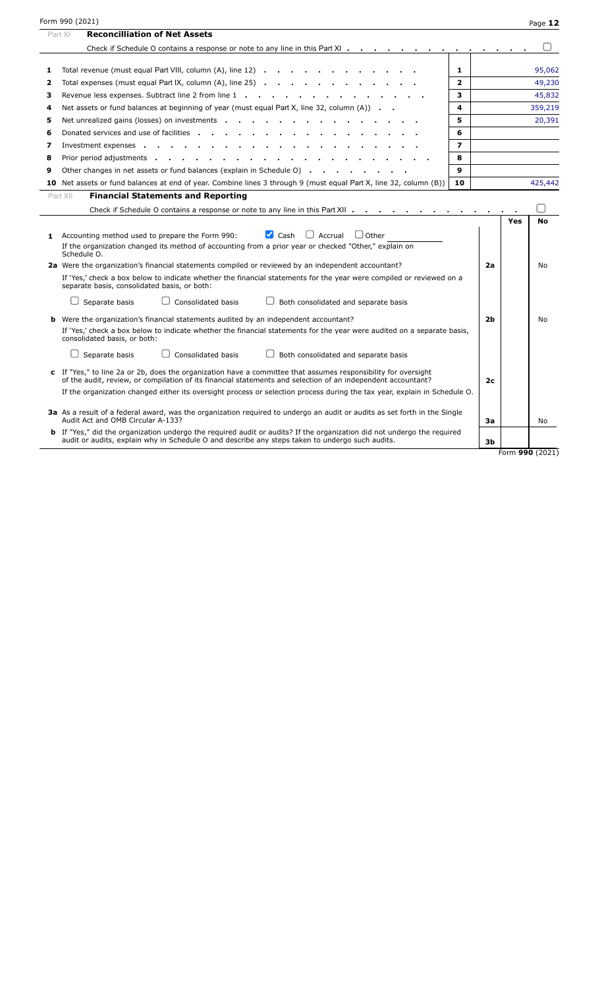|    | Form 990 (2021)                                                                                                                                                                                                                |                |    |     | Page 12   |
|----|--------------------------------------------------------------------------------------------------------------------------------------------------------------------------------------------------------------------------------|----------------|----|-----|-----------|
|    | <b>Reconcilliation of Net Assets</b><br>Part XI                                                                                                                                                                                |                |    |     |           |
|    | Check if Schedule O contains a response or note to any line in this Part XI                                                                                                                                                    |                |    |     |           |
|    |                                                                                                                                                                                                                                |                |    |     |           |
| 1  | Total revenue (must equal Part VIII, column (A), line 12)                                                                                                                                                                      | 1              |    |     | 95,062    |
| 2  | Total expenses (must equal Part IX, column $(A)$ , line 25) $\cdots$ $\cdots$ $\cdots$ $\cdots$ $\cdots$                                                                                                                       | $\mathbf{2}$   |    |     | 49,230    |
| з  | Revenue less expenses. Subtract line 2 from line 1                                                                                                                                                                             | з              |    |     | 45,832    |
| 4  | Net assets or fund balances at beginning of year (must equal Part X, line 32, column (A))                                                                                                                                      | 4              |    |     | 359,219   |
| 5  | Net unrealized gains (losses) on investments                                                                                                                                                                                   | 5              |    |     | 20,391    |
| 6  | Donated services and use of facilities                                                                                                                                                                                         | 6              |    |     |           |
| 7  | Investment expenses<br>$\sim$ 100 $\pm$                                                                                                                                                                                        | $\overline{ }$ |    |     |           |
| 8  | Prior period adjustments and the contract of the contract of the contract of the contract of the contract of the contract of the contract of the contract of the contract of the contract of the contract of the contract of t | 8              |    |     |           |
| 9  | Other changes in net assets or fund balances (explain in Schedule O)                                                                                                                                                           | 9              |    |     |           |
|    | 10 Net assets or fund balances at end of year. Combine lines 3 through 9 (must equal Part X, line 32, column (B))                                                                                                              | 10             |    |     | 425,442   |
|    | <b>Financial Statements and Reporting</b><br>Part XII                                                                                                                                                                          |                |    |     |           |
|    | Check if Schedule O contains a response or note to any line in this Part XII                                                                                                                                                   |                |    |     |           |
|    |                                                                                                                                                                                                                                |                |    | Yes | <b>No</b> |
| 1  | $\blacksquare$ Cash<br>$\Box$ Other<br>Accrual<br>Accounting method used to prepare the Form 990:                                                                                                                              |                |    |     |           |
|    | If the organization changed its method of accounting from a prior year or checked "Other," explain on                                                                                                                          |                |    |     |           |
|    | Schedule O.                                                                                                                                                                                                                    |                |    |     |           |
|    | 2a Were the organization's financial statements compiled or reviewed by an independent accountant?                                                                                                                             |                | 2a |     | No        |
|    | If 'Yes,' check a box below to indicate whether the financial statements for the year were compiled or reviewed on a<br>separate basis, consolidated basis, or both:                                                           |                |    |     |           |
|    | Separate basis<br>Consolidated basis<br>Both consolidated and separate basis                                                                                                                                                   |                |    |     |           |
| b. | Were the organization's financial statements audited by an independent accountant?                                                                                                                                             |                | 2b |     | No        |
|    | If 'Yes,' check a box below to indicate whether the financial statements for the year were audited on a separate basis,<br>consolidated basis, or both:                                                                        |                |    |     |           |
|    | Separate basis<br>Consolidated basis<br>Both consolidated and separate basis                                                                                                                                                   |                |    |     |           |
|    | c If "Yes," to line 2a or 2b, does the organization have a committee that assumes responsibility for oversight<br>of the audit, review, or compilation of its financial statements and selection of an independent accountant? |                | 2с |     |           |

**3a** As a result of a federal award, was the organization required to undergo an audit or audits as set forth in the Single Audit Act and OMB Circular A-133? **3a** No **3a** No **3a** No **3a** No **3a** No **3a** No **3a** No **3a** No **3a** No **3a** No **3a** No **3a** No **3a** No **3a** No **3a** No **3a** No **3a** No **3a** No **3a** No **3a** No **3a** No **3a** No **3a** No **3a** 

If the organization changed either its oversight process or selection process during the tax year, explain in Schedule O.

**b** If "Yes," did the organization undergo the required audit or audits? If the organization did not undergo the required audit or audits, explain why in Schedule O and describe any steps taken to undergo such audits. **3b**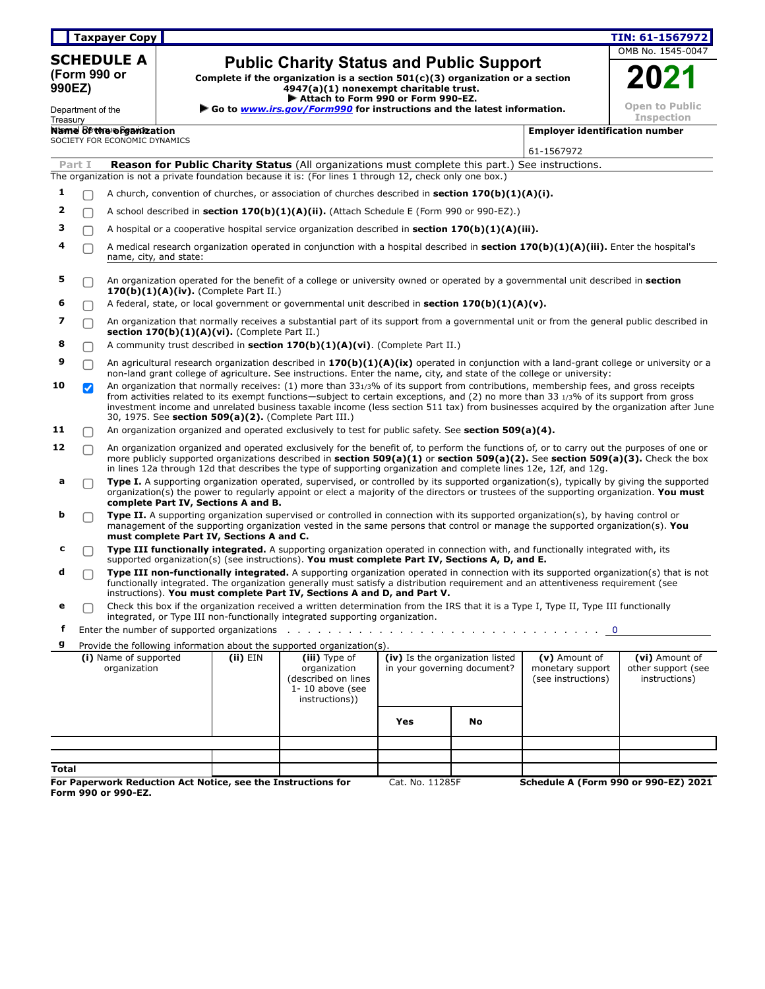| Taxpayer Copy |
|---------------|
|---------------|

**SCHEDULE A (Form 990 or 990EZ)**

# **Public Charity Status and Public Support**

**Complete if the organization is a section 501(c)(3) organization or a section**

**4947(a)(1) nonexempt charitable trust.**

|                 | OMB No. 1545-0047                          |  |  |  |
|-----------------|--------------------------------------------|--|--|--|
|                 | UZ                                         |  |  |  |
|                 | <b>Open to Public</b><br><b>Inspection</b> |  |  |  |
| fication number |                                            |  |  |  |

**Taxpayer Copy TIN: 61-1567972**

| Department of the<br>Treasury |                                       |                               |            |                                                                                               | ▶ Attach to Form 990 or Form 990-EZ.<br>Go to <i>www.irs.gov/Form990</i> for instructions and the latest information.                                                                                                                                                                                                                 |                             |                                                                                                                  |                                                       | <b>Open to Public</b><br><b>Inspection</b>                                                                                               |
|-------------------------------|---------------------------------------|-------------------------------|------------|-----------------------------------------------------------------------------------------------|---------------------------------------------------------------------------------------------------------------------------------------------------------------------------------------------------------------------------------------------------------------------------------------------------------------------------------------|-----------------------------|------------------------------------------------------------------------------------------------------------------|-------------------------------------------------------|------------------------------------------------------------------------------------------------------------------------------------------|
|                               |                                       | Name of the organization      |            |                                                                                               |                                                                                                                                                                                                                                                                                                                                       |                             |                                                                                                                  | <b>Employer identification number</b>                 |                                                                                                                                          |
|                               |                                       | SOCIETY FOR ECONOMIC DYNAMICS |            |                                                                                               |                                                                                                                                                                                                                                                                                                                                       |                             |                                                                                                                  | 61-1567972                                            |                                                                                                                                          |
|                               | Part I                                |                               |            |                                                                                               | <b>Reason for Public Charity Status</b> (All organizations must complete this part.) See instructions.                                                                                                                                                                                                                                |                             |                                                                                                                  |                                                       |                                                                                                                                          |
|                               |                                       |                               |            |                                                                                               | The organization is not a private foundation because it is: (For lines 1 through 12, check only one box.)                                                                                                                                                                                                                             |                             |                                                                                                                  |                                                       |                                                                                                                                          |
| 1                             |                                       |                               |            |                                                                                               | A church, convention of churches, or association of churches described in <b>section 170(b)(1)(A)(i).</b>                                                                                                                                                                                                                             |                             |                                                                                                                  |                                                       |                                                                                                                                          |
| 2                             |                                       |                               |            |                                                                                               | A school described in <b>section 170(b)(1)(A)(ii).</b> (Attach Schedule E (Form 990 or 990-EZ).)                                                                                                                                                                                                                                      |                             |                                                                                                                  |                                                       |                                                                                                                                          |
| з                             |                                       |                               |            |                                                                                               | A hospital or a cooperative hospital service organization described in <b>section 170(b)(1)(A)(iii).</b>                                                                                                                                                                                                                              |                             |                                                                                                                  |                                                       |                                                                                                                                          |
| 4                             |                                       | name, city, and state:        |            |                                                                                               | A medical research organization operated in conjunction with a hospital described in <b>section 170(b)(1)(A)(iii).</b> Enter the hospital's                                                                                                                                                                                           |                             |                                                                                                                  |                                                       |                                                                                                                                          |
| 5                             |                                       |                               |            | 170(b)(1)(A)(iv). (Complete Part II.)                                                         | An organization operated for the benefit of a college or university owned or operated by a governmental unit described in section                                                                                                                                                                                                     |                             |                                                                                                                  |                                                       |                                                                                                                                          |
| 6                             |                                       |                               |            |                                                                                               | A federal, state, or local government or governmental unit described in section $170(b)(1)(A)(v)$ .                                                                                                                                                                                                                                   |                             |                                                                                                                  |                                                       |                                                                                                                                          |
| 7                             | П                                     |                               |            | section $170(b)(1)(A)(vi)$ . (Complete Part II.)                                              | An organization that normally receives a substantial part of its support from a governmental unit or from the general public described in                                                                                                                                                                                             |                             |                                                                                                                  |                                                       |                                                                                                                                          |
| 8                             |                                       |                               |            |                                                                                               | A community trust described in section $170(b)(1)(A)(vi)$ . (Complete Part II.)                                                                                                                                                                                                                                                       |                             |                                                                                                                  |                                                       |                                                                                                                                          |
| 9                             |                                       |                               |            |                                                                                               | non-land grant college of agriculture. See instructions. Enter the name, city, and state of the college or university:                                                                                                                                                                                                                |                             |                                                                                                                  |                                                       | An agricultural research organization described in 170(b)(1)(A)(ix) operated in conjunction with a land-grant college or university or a |
| 10                            | $\blacktriangledown$                  |                               |            |                                                                                               | An organization that normally receives: (1) more than 331/3% of its support from contributions, membership fees, and gross receipts<br>from activities related to its exempt functions—subject to certain exceptions, and (2) no more than 33 1/3% of its support from gross<br>30, 1975. See section 509(a)(2). (Complete Part III.) |                             |                                                                                                                  |                                                       | investment income and unrelated business taxable income (less section 511 tax) from businesses acquired by the organization after June   |
| 11                            |                                       |                               |            |                                                                                               | An organization organized and operated exclusively to test for public safety. See section 509(a)(4).                                                                                                                                                                                                                                  |                             |                                                                                                                  |                                                       |                                                                                                                                          |
| 12                            |                                       |                               |            |                                                                                               | An organization organized and operated exclusively for the benefit of, to perform the functions of, or to carry out the purposes of one or<br>in lines 12a through 12d that describes the type of supporting organization and complete lines 12e, 12f, and 12g.                                                                       |                             |                                                                                                                  |                                                       | more publicly supported organizations described in section $509(a)(1)$ or section $509(a)(2)$ . See section $509(a)(3)$ . Check the box  |
| a                             |                                       |                               |            | complete Part IV, Sections A and B.                                                           | Type I. A supporting organization operated, supervised, or controlled by its supported organization(s), typically by giving the supported<br>organization(s) the power to regularly appoint or elect a majority of the directors or trustees of the supporting organization. You must                                                 |                             |                                                                                                                  |                                                       |                                                                                                                                          |
| b                             |                                       |                               |            | must complete Part IV, Sections A and C.                                                      | <b>Type II.</b> A supporting organization supervised or controlled in connection with its supported organization(s), by having control or<br>management of the supporting organization vested in the same persons that control or manage the supported organization(s). You                                                           |                             |                                                                                                                  |                                                       |                                                                                                                                          |
| с                             |                                       |                               |            |                                                                                               | Type III functionally integrated. A supporting organization operated in connection with, and functionally integrated with, its<br>supported organization(s) (see instructions). You must complete Part IV, Sections A, D, and E.                                                                                                      |                             |                                                                                                                  |                                                       |                                                                                                                                          |
| d                             |                                       |                               |            |                                                                                               | functionally integrated. The organization generally must satisfy a distribution requirement and an attentiveness requirement (see<br>instructions). You must complete Part IV, Sections A and D, and Part V.                                                                                                                          |                             |                                                                                                                  |                                                       | Type III non-functionally integrated. A supporting organization operated in connection with its supported organization(s) that is not    |
| е                             |                                       |                               |            |                                                                                               | Check this box if the organization received a written determination from the IRS that it is a Type I, Type II, Type III functionally<br>integrated, or Type III non-functionally integrated supporting organization.                                                                                                                  |                             |                                                                                                                  |                                                       |                                                                                                                                          |
| f                             |                                       |                               |            |                                                                                               |                                                                                                                                                                                                                                                                                                                                       |                             |                                                                                                                  |                                                       | $\mathbf 0$                                                                                                                              |
| g                             |                                       |                               |            |                                                                                               | Provide the following information about the supported organization(s).                                                                                                                                                                                                                                                                |                             |                                                                                                                  |                                                       |                                                                                                                                          |
|                               | (i) Name of supported<br>organization |                               | $(ii)$ EIN | (iii) Type of<br>organization<br>(described on lines<br>$1 - 10$ above (see<br>instructions)) |                                                                                                                                                                                                                                                                                                                                       | in your governing document? | $\frac{1}{\text{iv}}$ Is the organization listed $\vert$ (v) Amount of<br>monetary support<br>(see instructions) | (vi) Amount of<br>other support (see<br>instructions) |                                                                                                                                          |
|                               |                                       |                               |            |                                                                                               |                                                                                                                                                                                                                                                                                                                                       | Yes                         | No                                                                                                               |                                                       |                                                                                                                                          |
|                               |                                       |                               |            |                                                                                               |                                                                                                                                                                                                                                                                                                                                       |                             |                                                                                                                  |                                                       |                                                                                                                                          |
|                               |                                       |                               |            |                                                                                               |                                                                                                                                                                                                                                                                                                                                       |                             |                                                                                                                  |                                                       |                                                                                                                                          |
| <b>Total</b>                  |                                       |                               |            |                                                                                               | For Paperwork Reduction Act Notice, see the Instructions for                                                                                                                                                                                                                                                                          | Cat. No. 11285F             |                                                                                                                  |                                                       | <b>Schedule A (Form 990 or 990-EZ) 2021</b>                                                                                              |
|                               |                                       | Form 990 or 990-EZ.           |            |                                                                                               |                                                                                                                                                                                                                                                                                                                                       |                             |                                                                                                                  |                                                       |                                                                                                                                          |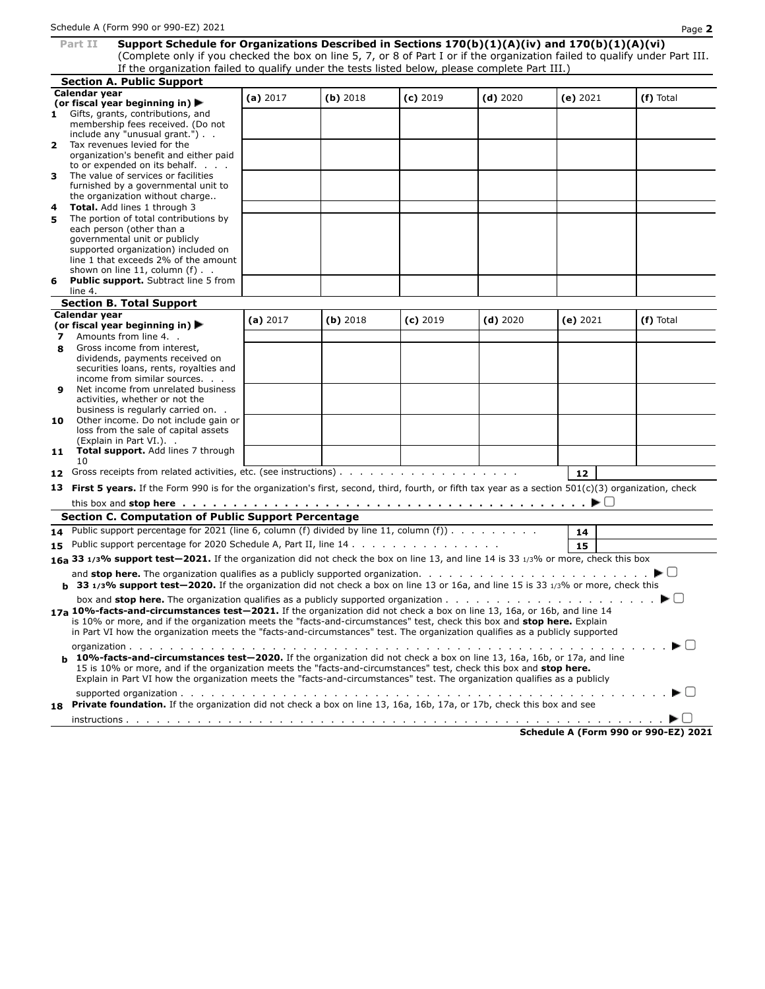**Part II Support Schedule for Organizations Described in Sections 170(b)(1)(A)(iv) and 170(b)(1)(A)(vi)** (Complete only if you checked the box on line 5, 7, or 8 of Part I or if the organization failed to qualify under Part III. If the organization failed to qualify under the tests listed below, please complete Part III.)

| If the organization ranea to guainy and |   |  |  |  |  |  |  |
|-----------------------------------------|---|--|--|--|--|--|--|
| <b>Section A. Public Support</b>        |   |  |  |  |  |  |  |
| Calendar vear                           | . |  |  |  |  |  |  |

|                | section A. I ablic sapport                                                                                                                                                                                                                  |          |            |            |            |          |                                |
|----------------|---------------------------------------------------------------------------------------------------------------------------------------------------------------------------------------------------------------------------------------------|----------|------------|------------|------------|----------|--------------------------------|
|                | Calendar year                                                                                                                                                                                                                               | (a) 2017 | $(b)$ 2018 | $(c)$ 2019 | $(d)$ 2020 | (e) 2021 | (f) Total                      |
| $\mathbf{1}$   | (or fiscal year beginning in) $\blacktriangleright$<br>Gifts, grants, contributions, and                                                                                                                                                    |          |            |            |            |          |                                |
|                | membership fees received. (Do not                                                                                                                                                                                                           |          |            |            |            |          |                                |
|                | include any "unusual grant.")                                                                                                                                                                                                               |          |            |            |            |          |                                |
| $\overline{2}$ | Tax revenues levied for the                                                                                                                                                                                                                 |          |            |            |            |          |                                |
|                | organization's benefit and either paid                                                                                                                                                                                                      |          |            |            |            |          |                                |
| з              | to or expended on its behalf.<br>The value of services or facilities                                                                                                                                                                        |          |            |            |            |          |                                |
|                | furnished by a governmental unit to                                                                                                                                                                                                         |          |            |            |            |          |                                |
|                | the organization without charge                                                                                                                                                                                                             |          |            |            |            |          |                                |
| 4              | Total. Add lines 1 through 3                                                                                                                                                                                                                |          |            |            |            |          |                                |
| 5              | The portion of total contributions by                                                                                                                                                                                                       |          |            |            |            |          |                                |
|                | each person (other than a<br>governmental unit or publicly                                                                                                                                                                                  |          |            |            |            |          |                                |
|                | supported organization) included on                                                                                                                                                                                                         |          |            |            |            |          |                                |
|                | line 1 that exceeds 2% of the amount                                                                                                                                                                                                        |          |            |            |            |          |                                |
|                | shown on line 11, column $(f)$                                                                                                                                                                                                              |          |            |            |            |          |                                |
| 6              | Public support. Subtract line 5 from                                                                                                                                                                                                        |          |            |            |            |          |                                |
|                | line 4.                                                                                                                                                                                                                                     |          |            |            |            |          |                                |
|                | <b>Section B. Total Support</b><br><b>Calendar vear</b>                                                                                                                                                                                     |          |            |            |            |          |                                |
|                | (or fiscal year beginning in) ▶                                                                                                                                                                                                             | (a) 2017 | (b) 2018   | $(c)$ 2019 | $(d)$ 2020 | (e) 2021 | (f) Total                      |
| 7              | Amounts from line 4. .                                                                                                                                                                                                                      |          |            |            |            |          |                                |
| 8              | Gross income from interest,                                                                                                                                                                                                                 |          |            |            |            |          |                                |
|                | dividends, payments received on                                                                                                                                                                                                             |          |            |            |            |          |                                |
|                | securities loans, rents, royalties and<br>income from similar sources.                                                                                                                                                                      |          |            |            |            |          |                                |
| 9              | Net income from unrelated business                                                                                                                                                                                                          |          |            |            |            |          |                                |
|                | activities, whether or not the                                                                                                                                                                                                              |          |            |            |            |          |                                |
|                | business is regularly carried on. .                                                                                                                                                                                                         |          |            |            |            |          |                                |
| 10             | Other income. Do not include gain or<br>loss from the sale of capital assets                                                                                                                                                                |          |            |            |            |          |                                |
|                | (Explain in Part VI.)                                                                                                                                                                                                                       |          |            |            |            |          |                                |
| 11             | <b>Total support.</b> Add lines 7 through                                                                                                                                                                                                   |          |            |            |            |          |                                |
|                | 10                                                                                                                                                                                                                                          |          |            |            |            |          |                                |
|                |                                                                                                                                                                                                                                             |          |            |            |            | 12       |                                |
|                | 13 First 5 years. If the Form 990 is for the organization's first, second, third, fourth, or fifth tax year as a section 501(c)(3) organization, check                                                                                      |          |            |            |            |          |                                |
|                | this box and stop here $\ldots \ldots \ldots \ldots \ldots \ldots \ldots$                                                                                                                                                                   |          |            |            |            |          |                                |
|                | <b>Section C. Computation of Public Support Percentage</b>                                                                                                                                                                                  |          |            |            |            |          |                                |
|                | 14 Public support percentage for 2021 (line 6, column (f) divided by line 11, column (f))                                                                                                                                                   |          |            |            |            | 14       |                                |
|                | 15 Public support percentage for 2020 Schedule A, Part II, line 14.                                                                                                                                                                         |          |            |            |            | 15       |                                |
|                | 16a 33 1/3% support test-2021. If the organization did not check the box on line 13, and line 14 is 33 1/3% or more, check this box                                                                                                         |          |            |            |            |          |                                |
|                | and <b>stop here.</b> The organization qualifies as a publicly supported organization. $\ldots$ , $\ldots$ , $\ldots$ , $\ldots$ , $\ldots$ , $\ldots$ , $\ldots$                                                                           |          |            |            |            |          | ►⊟                             |
| h              | 33 1/3% support test-2020. If the organization did not check a box on line 13 or 16a, and line 15 is 33 1/3% or more, check this                                                                                                            |          |            |            |            |          |                                |
|                |                                                                                                                                                                                                                                             |          |            |            |            |          | $\blacktriangleright$ $\sqcup$ |
|                | 17a 10%-facts-and-circumstances test-2021. If the organization did not check a box on line 13, 16a, or 16b, and line 14                                                                                                                     |          |            |            |            |          |                                |
|                | is 10% or more, and if the organization meets the "facts-and-circumstances" test, check this box and stop here. Explain                                                                                                                     |          |            |            |            |          |                                |
|                | in Part VI how the organization meets the "facts-and-circumstances" test. The organization qualifies as a publicly supported                                                                                                                |          |            |            |            |          |                                |
|                |                                                                                                                                                                                                                                             |          |            |            |            |          |                                |
| b.             | 10%-facts-and-circumstances test-2020. If the organization did not check a box on line 13, 16a, 16b, or 17a, and line<br>15 is 10% or more, and if the organization meets the "facts-and-circumstances" test, check this box and stop here. |          |            |            |            |          |                                |
|                | Explain in Part VI how the organization meets the "facts-and-circumstances" test. The organization qualifies as a publicly                                                                                                                  |          |            |            |            |          |                                |
|                |                                                                                                                                                                                                                                             |          |            |            |            |          |                                |
| 18             | Private foundation. If the organization did not check a box on line 13, 16a, 16b, 17a, or 17b, check this box and see                                                                                                                       |          |            |            |            |          |                                |
|                |                                                                                                                                                                                                                                             |          |            |            |            |          |                                |
|                |                                                                                                                                                                                                                                             |          |            |            |            |          |                                |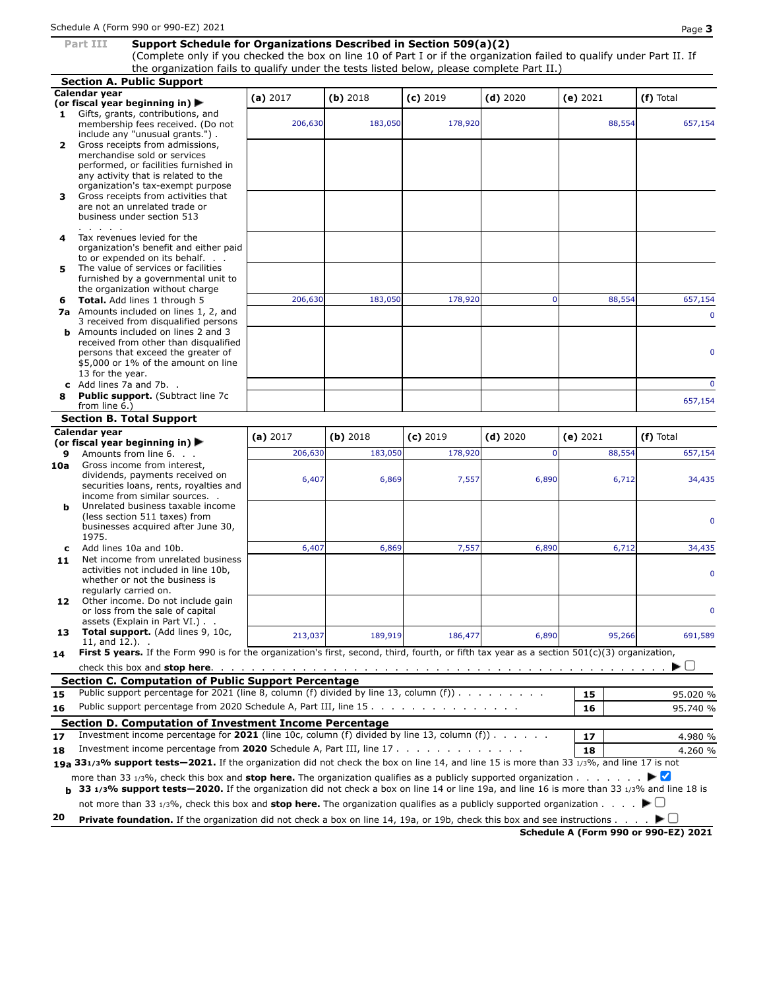#### **Part III Support Schedule for Organizations Described in Section 509(a)(2)**

(Complete only if you checked the box on line 10 of Part I or if the organization failed to qualify under Part II. If the organization fails to qualify under the tests listed below, please complete Part II.)

**Section A. Public Support Calendar year (or fiscal year beginning in) (a)** <sup>2017</sup> **(b)** <sup>2018</sup> **(c)** <sup>2019</sup> **(d)** <sup>2020</sup> **(e)** <sup>2021</sup> **(f)** Total **1** Gifts, grants, contributions, and membership fees received. (Do not 206,630 183,050 178,920 88,554 657,154 include any "unusual grants.") . **2** Gross receipts from admissions, merchandise sold or services performed, or facilities furnished in any activity that is related to the organization's tax-exempt purpose **3** Gross receipts from activities that are not an unrelated trade or business under section 513 . . . . . **4** Tax revenues levied for the organization's benefit and either paid to or expended on its behalf. . . **5** The value of services or facilities furnished by a governmental unit to the organization without charge **6 Total.** Add lines 1 through 5 1206,630 183,050 178,920 0 88,554 657,154 **7a** Amounts included on lines 1, 2, and 3 received from disqualified persons **b** Amounts included on lines 2 and 3 received from other than disqualified persons that exceed the greater of \$5,000 or 1% of the amount on line 13 for the year. **c** Add lines 7a and 7b. . 0 **8 Public support.** (Subtract line 7c 657,154 from line 6.) **Section B. Total Support Calendar year (or fiscal year beginning in) ★**  $($ **a**) 2017  $($ **b**) 2018  $($ **c**) 2019  $($ **d**) 2020  $($ **e**) 2021  $($ **f**) Total **9** Amounts from line 6. **9** Amounts from line 6. . . . . . . . . 206,630 183,050 178,920 178,920 0 88,554 657,154 **10a** Gross income from interest, dividends, payments received on 6,407 6,869 7,557 6,890 6,712 34,435 securities loans, rents, royalties and income from similar sources. . **b** Unrelated business taxable income (less section 511 taxes) from businesses acquired after June 30, 1975. **c** Add lines 10a and 10b. **6,407** 6,869 7,557 6,890 6,712 34,435 11 Net income from unrelated business activities not included in line 10b, whether or not the business is regularly carried on. 12 Other income. Do not include gain or loss from the sale of capital assets (Explain in Part VI.) . . **13 Total support.** (Add lines 9, 10c, 213,037 189,919 186,477 6,890 95,266 691,589  $11,$  and  $12.$ ). **14 First 5 years.** If the Form 990 is for the organization's first, second, third, fourth, or fifth tax year as a section 501(c)(3) organization, check this box and **stop here**. . . . . . . . . . . . . . . . . . . . . . . . . . . . . . . . . . . . . . . . . . . . .  $\blacktriangleright$  ( ) **Section C. Computation of Public Support Percentage 15** Public support percentage for 2021 (line 8, column (f) divided by line 13, column (f))  $\ldots$  . . . . . . . . . . . . . . . . . 95.020 % **16** Public support percentage from 2020 Schedule A, Part III, line 15 . . . . . . . . . . . . . . . **16** 95.740 % **Section D. Computation of Investment Income Percentage 17** Investment income percentage for **2021** (line 10c, column (f) divided by line 13, column (f)) . . . . . . **17** 4.980 % **18** Investment income percentage from **2020** Schedule A, Part III, line 17 . . . . . . . . . . . . . **18** 4.260 % **19a 331/3% support tests—2021.** If the organization did not check the box on line 14, and line 15 is more than 33 1/3%, and line 17 is not more than 33 1/3%, check this box and **stop here.** The organization qualifies as a publicly supported organization . . . . . . . **b** 33 1/3% support tests-2020. If the organization did not check a box on line 14 or line 19a, and line 16 is more than 33 1/3% and line 18 is not more than 33 1/3%, check this box and **stop here.** The organization qualifies as a publicly supported organization . . . . **20 Private foundation.** If the organization did not check a box on line 14, 19a, or 19b, check this box and see instructions .  $\blacktriangleright$  ( ) **Schedule A (Form 990 or 990-EZ) 2021**

0

0

0

0

0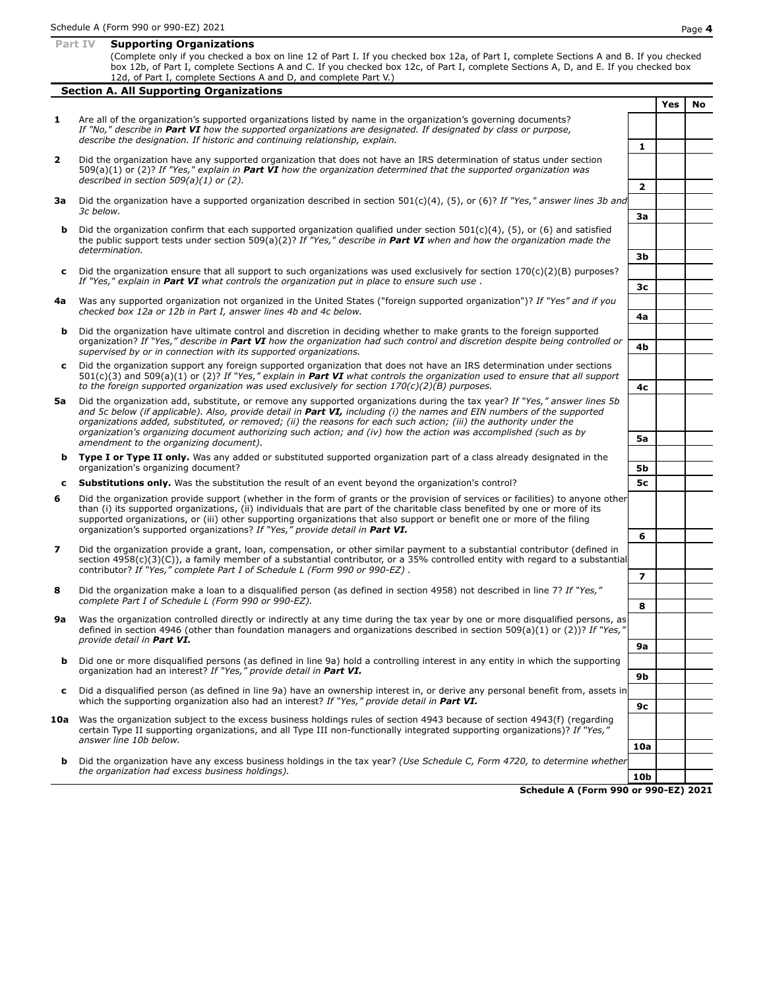|    | Part IV<br><b>Supporting Organizations</b>                                                                                                                                                                                                                                                                                                                                                                                                                                                      |                          |     |    |
|----|-------------------------------------------------------------------------------------------------------------------------------------------------------------------------------------------------------------------------------------------------------------------------------------------------------------------------------------------------------------------------------------------------------------------------------------------------------------------------------------------------|--------------------------|-----|----|
|    | (Complete only if you checked a box on line 12 of Part I. If you checked box 12a, of Part I, complete Sections A and B. If you checked<br>box 12b, of Part I, complete Sections A and C. If you checked box 12c, of Part I, complete Sections A, D, and E. If you checked box<br>12d, of Part I, complete Sections A and D, and complete Part V.)                                                                                                                                               |                          |     |    |
|    | <b>Section A. All Supporting Organizations</b>                                                                                                                                                                                                                                                                                                                                                                                                                                                  |                          |     |    |
|    |                                                                                                                                                                                                                                                                                                                                                                                                                                                                                                 |                          | Yes | No |
| 1  | Are all of the organization's supported organizations listed by name in the organization's governing documents?<br>If "No," describe in Part VI how the supported organizations are designated. If designated by class or purpose,<br>describe the designation. If historic and continuing relationship, explain.                                                                                                                                                                               | 1                        |     |    |
| 2  | Did the organization have any supported organization that does not have an IRS determination of status under section<br>509(a)(1) or (2)? If "Yes," explain in <b>Part VI</b> how the organization determined that the supported organization was<br>described in section $509(a)(1)$ or (2).                                                                                                                                                                                                   |                          |     |    |
| За | Did the organization have a supported organization described in section $501(c)(4)$ , (5), or (6)? If "Yes," answer lines 3b and<br>determination.                                                                                                                                                                                                                                                                                                                                              | $\overline{2}$           |     |    |
|    | 3c below.                                                                                                                                                                                                                                                                                                                                                                                                                                                                                       | За                       |     |    |
| b  | Did the organization confirm that each supported organization qualified under section $501(c)(4)$ , (5), or (6) and satisfied<br>the public support tests under section 509(a)(2)? If "Yes," describe in <b>Part VI</b> when and how the organization made the                                                                                                                                                                                                                                  |                          |     |    |
|    |                                                                                                                                                                                                                                                                                                                                                                                                                                                                                                 | Зb                       |     |    |
| c  | Did the organization ensure that all support to such organizations was used exclusively for section $170(c)(2)(B)$ purposes?<br>If "Yes," explain in Part VI what controls the organization put in place to ensure such use.                                                                                                                                                                                                                                                                    | Зс                       |     |    |
| 4a | Was any supported organization not organized in the United States ("foreign supported organization")? If "Yes" and if you                                                                                                                                                                                                                                                                                                                                                                       |                          |     |    |
|    | checked box 12a or 12b in Part I, answer lines 4b and 4c below.                                                                                                                                                                                                                                                                                                                                                                                                                                 | 4a                       |     |    |
| b  | Did the organization have ultimate control and discretion in deciding whether to make grants to the foreign supported<br>organization? If "Yes," describe in Part VI how the organization had such control and discretion despite being controlled or<br>supervised by or in connection with its supported organizations.                                                                                                                                                                       | 4b                       |     |    |
| c  | Did the organization support any foreign supported organization that does not have an IRS determination under sections                                                                                                                                                                                                                                                                                                                                                                          |                          |     |    |
|    | $501(c)(3)$ and $509(a)(1)$ or (2)? If "Yes," explain in <b>Part VI</b> what controls the organization used to ensure that all support<br>to the foreign supported organization was used exclusively for section $170(c)(2)(B)$ purposes.                                                                                                                                                                                                                                                       | 4с                       |     |    |
| 5а | Did the organization add, substitute, or remove any supported organizations during the tax year? If "Yes," answer lines 5b<br>and 5c below (if applicable). Also, provide detail in Part VI, including (i) the names and EIN numbers of the supported<br>organizations added, substituted, or removed; (ii) the reasons for each such action; (iii) the authority under the<br>organization's organizing document authorizing such action; and (iv) how the action was accomplished (such as by | 5a                       |     |    |
|    | amendment to the organizing document).                                                                                                                                                                                                                                                                                                                                                                                                                                                          |                          |     |    |
| b  | Type I or Type II only. Was any added or substituted supported organization part of a class already designated in the<br>organization's organizing document?                                                                                                                                                                                                                                                                                                                                    | 5b                       |     |    |
| c  | <b>Substitutions only.</b> Was the substitution the result of an event beyond the organization's control?                                                                                                                                                                                                                                                                                                                                                                                       | 5с                       |     |    |
| 6  | Did the organization provide support (whether in the form of grants or the provision of services or facilities) to anyone other<br>than (i) its supported organizations, (ii) individuals that are part of the charitable class benefited by one or more of its<br>supported organizations, or (iii) other supporting organizations that also support or benefit one or more of the filing                                                                                                      |                          |     |    |
|    | organization's supported organizations? If "Yes," provide detail in Part VI.                                                                                                                                                                                                                                                                                                                                                                                                                    | 6                        |     |    |
| 7  | Did the organization provide a grant, loan, compensation, or other similar payment to a substantial contributor (defined in<br>section 4958(c)(3)(C)), a family member of a substantial contributor, or a 35% controlled entity with regard to a substantial                                                                                                                                                                                                                                    |                          |     |    |
|    | contributor? If "Yes," complete Part I of Schedule L (Form 990 or 990-EZ).                                                                                                                                                                                                                                                                                                                                                                                                                      | $\overline{\phantom{a}}$ |     |    |
| 8  | Did the organization make a loan to a disqualified person (as defined in section 4958) not described in line 7? If "Yes,"<br>complete Part I of Schedule L (Form 990 or 990-EZ).                                                                                                                                                                                                                                                                                                                | 8                        |     |    |
| 9a | Was the organization controlled directly or indirectly at any time during the tax year by one or more disqualified persons, as<br>defined in section 4946 (other than foundation managers and organizations described in section 509(a)(1) or (2))? If "Yes,"<br>provide detail in <b>Part VI.</b>                                                                                                                                                                                              |                          |     |    |
|    |                                                                                                                                                                                                                                                                                                                                                                                                                                                                                                 | 9а                       |     |    |
| b  | Did one or more disqualified persons (as defined in line 9a) hold a controlling interest in any entity in which the supporting<br>organization had an interest? If "Yes," provide detail in Part VI.                                                                                                                                                                                                                                                                                            |                          |     |    |
|    |                                                                                                                                                                                                                                                                                                                                                                                                                                                                                                 | 9b                       |     |    |
| c  | Did a disqualified person (as defined in line 9a) have an ownership interest in, or derive any personal benefit from, assets in<br>which the supporting organization also had an interest? If "Yes," provide detail in Part VI.                                                                                                                                                                                                                                                                 |                          |     |    |
|    | 10a Was the organization subject to the excess business holdings rules of section 4943 because of section 4943(f) (regarding<br>certain Type II supporting organizations, and all Type III non-functionally integrated supporting organizations)? If "Yes,"                                                                                                                                                                                                                                     | 9с                       |     |    |

**10a b** Did the organization have any excess business holdings in the tax year? *(Use Schedule C, Form 4720, to determine whether the organization had excess business holdings).* **10b**

*answer line 10b below.*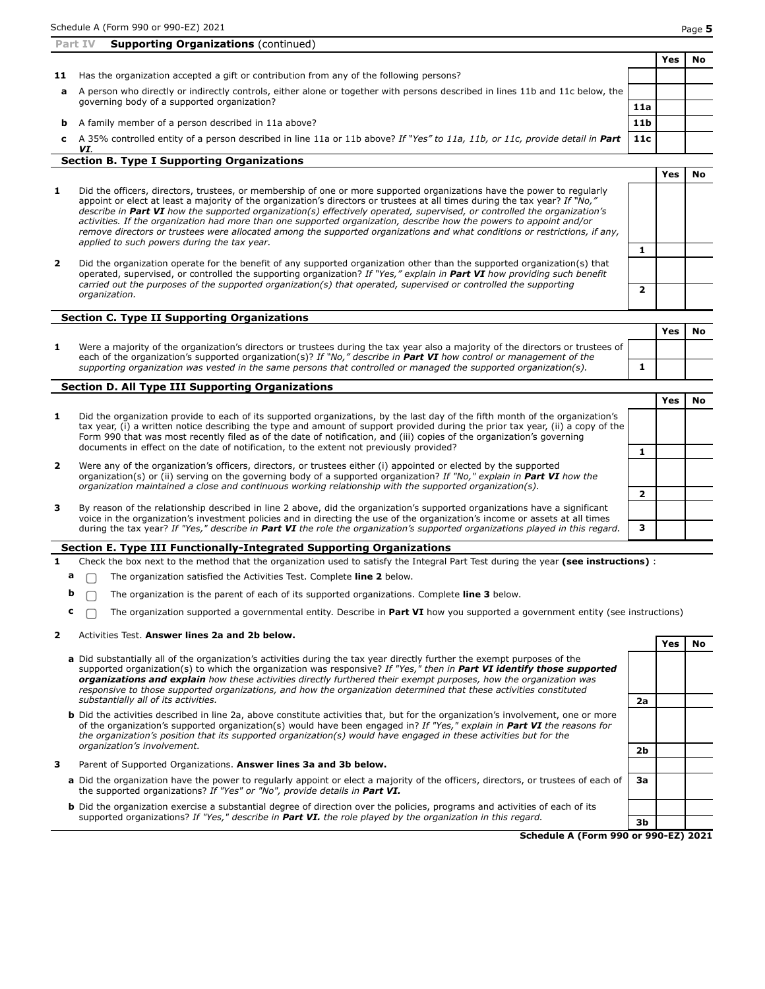|    | <b>Supporting Organizations (continued)</b><br>Part IV                                                                        |                 |     |    |
|----|-------------------------------------------------------------------------------------------------------------------------------|-----------------|-----|----|
|    |                                                                                                                               |                 | Yes | No |
| 11 | Has the organization accepted a gift or contribution from any of the following persons?                                       |                 |     |    |
| a  | A person who directly or indirectly controls, either alone or together with persons described in lines 11b and 11c below, the |                 |     |    |
|    | governing body of a supported organization?                                                                                   | 11a             |     |    |
| b. | A family member of a person described in 11a above?                                                                           | 11 <sub>b</sub> |     |    |
| с  | A 35% controlled entity of a person described in line 11a or 11b above? If "Yes" to 11a, 11b, or 11c, provide detail in Part  | 11c             |     |    |
|    | VI.<br><b>Section B. Type I Supporting Organizations</b>                                                                      |                 |     |    |

|                |                                                                                                                                                                                                                                                                                                                                                                                                                                                                                                                                                                                                                                                                                        |  | Yes | Nο |
|----------------|----------------------------------------------------------------------------------------------------------------------------------------------------------------------------------------------------------------------------------------------------------------------------------------------------------------------------------------------------------------------------------------------------------------------------------------------------------------------------------------------------------------------------------------------------------------------------------------------------------------------------------------------------------------------------------------|--|-----|----|
| 1              | Did the officers, directors, trustees, or membership of one or more supported organizations have the power to regularly<br>appoint or elect at least a majority of the organization's directors or trustees at all times during the tax year? If "No,"<br>describe in Part VI how the supported organization(s) effectively operated, supervised, or controlled the organization's<br>activities. If the organization had more than one supported organization, describe how the powers to appoint and/or<br>remove directors or trustees were allocated among the supported organizations and what conditions or restrictions, if any,<br>applied to such powers during the tax year. |  |     |    |
|                |                                                                                                                                                                                                                                                                                                                                                                                                                                                                                                                                                                                                                                                                                        |  |     |    |
| $\overline{2}$ | Did the organization operate for the benefit of any supported organization other than the supported organization(s) that<br>operated, supervised, or controlled the supporting organization? If "Yes," explain in <b>Part VI</b> how providing such benefit                                                                                                                                                                                                                                                                                                                                                                                                                            |  |     |    |
|                | carried out the purposes of the supported organization(s) that operated, supervised or controlled the supporting<br>organization.                                                                                                                                                                                                                                                                                                                                                                                                                                                                                                                                                      |  |     |    |

|                                                                                                                                                                                                                                                               | Yes |  |
|---------------------------------------------------------------------------------------------------------------------------------------------------------------------------------------------------------------------------------------------------------------|-----|--|
| Were a majority of the organization's directors or trustees during the tax year also a majority of the directors or trustees of<br>each of the organization's supported organization(s)? If "No," describe in <b>Part VI</b> how control or management of the |     |  |
| supporting organization was vested in the same persons that controlled or managed the supported organization(s).                                                                                                                                              |     |  |

### **Section D. All Type III Supporting Organizations**

| 1. | Did the organization provide to each of its supported organizations, by the last day of the fifth month of the organization's<br>tax year, (i) a written notice describing the type and amount of support provided during the prior tax year, (ii) a copy of the<br>Form 990 that was most recently filed as of the date of notification, and (iii) copies of the organization's governing |  |  |
|----|--------------------------------------------------------------------------------------------------------------------------------------------------------------------------------------------------------------------------------------------------------------------------------------------------------------------------------------------------------------------------------------------|--|--|
|    | documents in effect on the date of notification, to the extent not previously provided?                                                                                                                                                                                                                                                                                                    |  |  |
| 2  | Were any of the organization's officers, directors, or trustees either (i) appointed or elected by the supported<br>organization(s) or (ii) serving on the governing body of a supported organization? If "No," explain in Part VI how the<br>organization maintained a close and continuous working relationship with the supported organization(s).                                      |  |  |
|    |                                                                                                                                                                                                                                                                                                                                                                                            |  |  |
| 3  | By reason of the relationship described in line 2 above, did the organization's supported organizations have a significant<br>voice in the organization's investment policies and in directing the use of the organization's income or assets at all times                                                                                                                                 |  |  |
|    | during the tax year? If "Yes," describe in <b>Part VI</b> the role the organization's supported organizations played in this regard.                                                                                                                                                                                                                                                       |  |  |

## **Section E. Type III Functionally-Integrated Supporting Organizations**

- **1** Check the box next to the method that the organization used to satisfy the Integral Part Test during the year **(see instructions)** :
	- **a**  $\Box$  The organization satisfied the Activities Test. Complete line 2 below.
	- **b**  $\Box$  The organization is the parent of each of its supported organizations. Complete line 3 below.
	- **c**  $\Box$  The organization supported a governmental entity. Describe in **Part VI** how you supported a government entity (see instructions)

#### **2** Activities Test. **Answer lines 2a and 2b below.**

- **a** Did substantially all of the organization's activities during the tax year directly further the exempt purposes of the supported organization(s) to which the organization was responsive? *If "Yes," then in Part VI identify those supported organizations and explain how these activities directly furthered their exempt purposes, how the organization was responsive to those supported organizations, and how the organization determined that these activities constituted substantially all of its activities.* **2a**
- **b** Did the activities described in line 2a, above constitute activities that, but for the organization's involvement, one or more of the organization's supported organization(s) would have been engaged in? *If "Yes," explain in Part VI the reasons for* the organization's position that its supported organization(s) would have engaged in these activities but for the *organization's involvement.* **2b**
- **3** Parent of Supported Organizations. **Answer lines 3a and 3b below.**
	- **a** Did the organization have the power to regularly appoint or elect a majority of the officers, directors, or trustees of each of the supported organizations? *If "Yes" or "No", provide details in Part VI.*
	- **b** Did the organization exercise a substantial degree of direction over the policies, programs and activities of each of its supported organizations? *If "Yes," describe in Part VI. the role played by the organization in this regard.* **3b**

**Schedule A (Form 990 or 990-EZ) 2021**

**3a**

**Yes No**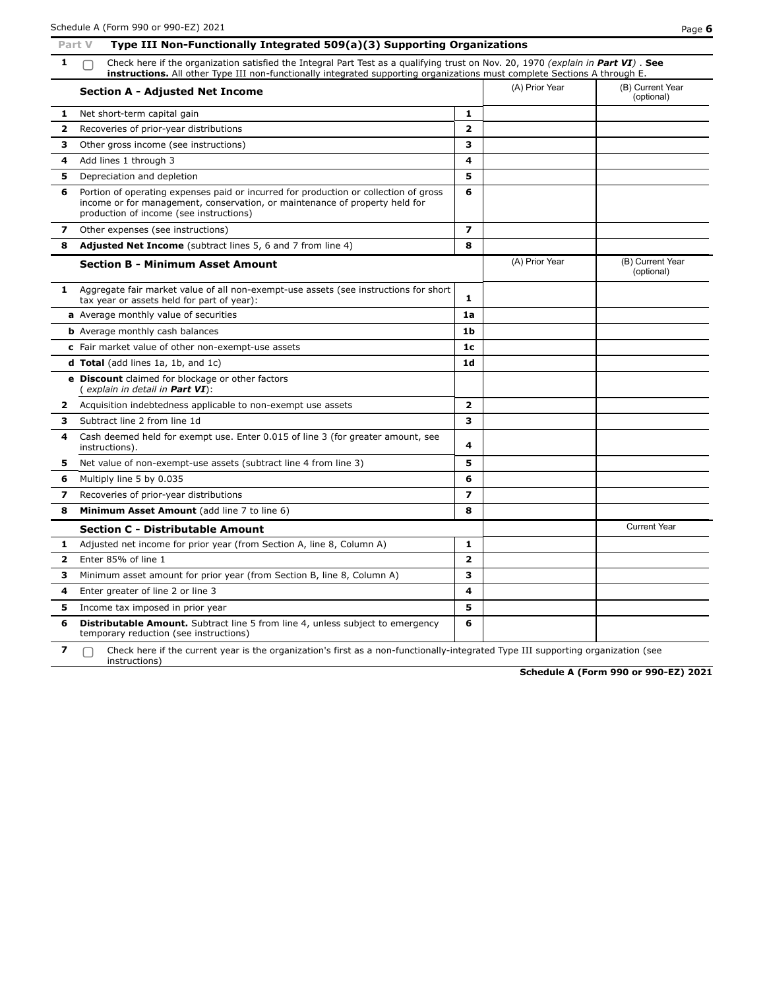|              | Type III Non-Functionally Integrated 509(a)(3) Supporting Organizations<br>Part V                                                                                                                                                                             |                          |                |                                |  |  |
|--------------|---------------------------------------------------------------------------------------------------------------------------------------------------------------------------------------------------------------------------------------------------------------|--------------------------|----------------|--------------------------------|--|--|
| 1            | Check here if the organization satisfied the Integral Part Test as a qualifying trust on Nov. 20, 1970 (explain in Part VI). See<br>instructions. All other Type III non-functionally integrated supporting organizations must complete Sections A through E. |                          |                |                                |  |  |
|              | <b>Section A - Adjusted Net Income</b>                                                                                                                                                                                                                        |                          | (A) Prior Year | (B) Current Year<br>(optional) |  |  |
| 1            | Net short-term capital gain                                                                                                                                                                                                                                   | 1                        |                |                                |  |  |
| 2            | Recoveries of prior-year distributions                                                                                                                                                                                                                        | $\overline{\mathbf{z}}$  |                |                                |  |  |
| з            | Other gross income (see instructions)                                                                                                                                                                                                                         | з                        |                |                                |  |  |
| 4            | Add lines 1 through 3                                                                                                                                                                                                                                         | 4                        |                |                                |  |  |
| 5            | Depreciation and depletion                                                                                                                                                                                                                                    | 5                        |                |                                |  |  |
| 6            | Portion of operating expenses paid or incurred for production or collection of gross<br>income or for management, conservation, or maintenance of property held for<br>production of income (see instructions)                                                | 6                        |                |                                |  |  |
| 7            | Other expenses (see instructions)                                                                                                                                                                                                                             | $\overline{\phantom{a}}$ |                |                                |  |  |
| 8            | <b>Adjusted Net Income</b> (subtract lines 5, 6 and 7 from line 4)                                                                                                                                                                                            | 8                        |                |                                |  |  |
|              | <b>Section B - Minimum Asset Amount</b>                                                                                                                                                                                                                       |                          | (A) Prior Year | (B) Current Year<br>(optional) |  |  |
| 1            | Aggregate fair market value of all non-exempt-use assets (see instructions for short<br>tax year or assets held for part of year):                                                                                                                            | 1                        |                |                                |  |  |
|              | a Average monthly value of securities                                                                                                                                                                                                                         | 1a                       |                |                                |  |  |
|              | <b>b</b> Average monthly cash balances                                                                                                                                                                                                                        | 1 <sub>b</sub>           |                |                                |  |  |
|              | c Fair market value of other non-exempt-use assets                                                                                                                                                                                                            | 1 <sub>c</sub>           |                |                                |  |  |
|              | <b>d Total</b> (add lines 1a, 1b, and 1c)                                                                                                                                                                                                                     | 1d                       |                |                                |  |  |
|              | e Discount claimed for blockage or other factors<br>( explain in detail in <b>Part VI</b> ):                                                                                                                                                                  |                          |                |                                |  |  |
| 2            | Acquisition indebtedness applicable to non-exempt use assets                                                                                                                                                                                                  | $\overline{\mathbf{z}}$  |                |                                |  |  |
| з            | Subtract line 2 from line 1d                                                                                                                                                                                                                                  | 3                        |                |                                |  |  |
| 4            | Cash deemed held for exempt use. Enter 0.015 of line 3 (for greater amount, see<br>instructions).                                                                                                                                                             | 4                        |                |                                |  |  |
| 5            | Net value of non-exempt-use assets (subtract line 4 from line 3)                                                                                                                                                                                              | 5                        |                |                                |  |  |
| 6            | Multiply line 5 by 0.035                                                                                                                                                                                                                                      | 6                        |                |                                |  |  |
| 7            | Recoveries of prior-year distributions                                                                                                                                                                                                                        | $\overline{\mathbf{z}}$  |                |                                |  |  |
| 8            | Minimum Asset Amount (add line 7 to line 6)                                                                                                                                                                                                                   | 8                        |                |                                |  |  |
|              | <b>Section C - Distributable Amount</b>                                                                                                                                                                                                                       |                          |                | <b>Current Year</b>            |  |  |
| 1            | Adjusted net income for prior year (from Section A, line 8, Column A)                                                                                                                                                                                         | 1                        |                |                                |  |  |
| $\mathbf{z}$ | Enter 85% of line 1                                                                                                                                                                                                                                           | $\mathbf{2}$             |                |                                |  |  |
| з            | Minimum asset amount for prior year (from Section B, line 8, Column A)                                                                                                                                                                                        | 3                        |                |                                |  |  |
| 4            | Enter greater of line 2 or line 3                                                                                                                                                                                                                             | 4                        |                |                                |  |  |
| 5            | Income tax imposed in prior year                                                                                                                                                                                                                              | 5                        |                |                                |  |  |
| 6            | <b>Distributable Amount.</b> Subtract line 5 from line 4, unless subject to emergency<br>temporary reduction (see instructions)                                                                                                                               | 6                        |                |                                |  |  |
| 7            | Check here if the current year is the organization's first as a non-functionally-integrated Type III supporting organization (see<br>instructions)                                                                                                            |                          |                |                                |  |  |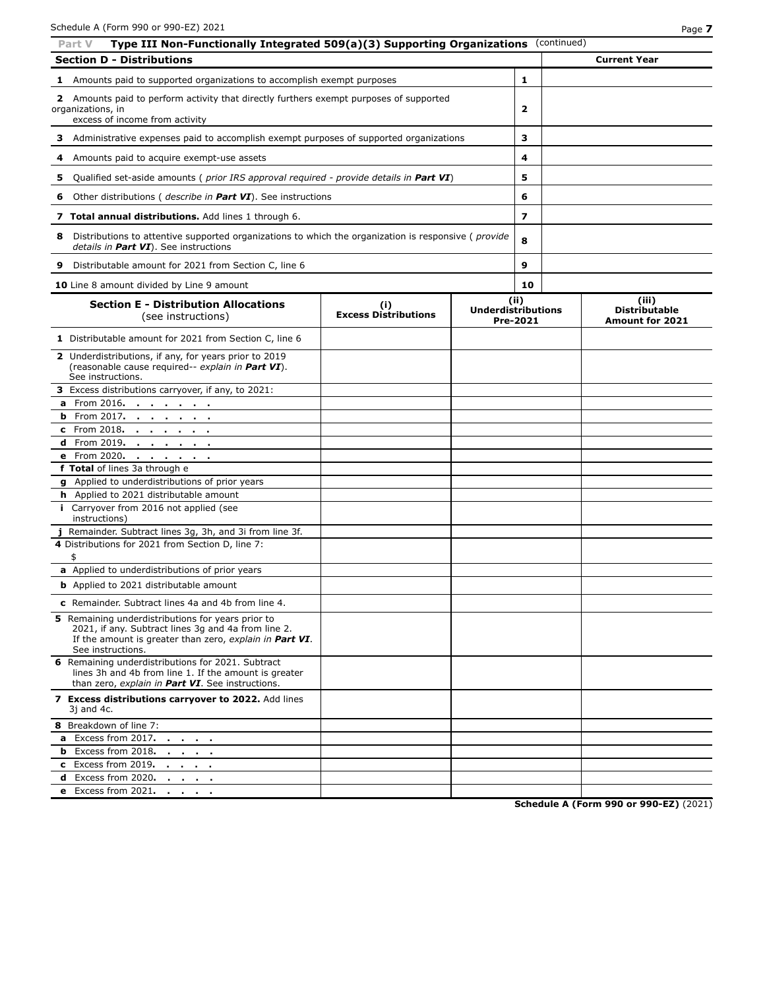| Type III Non-Functionally Integrated 509(a)(3) Supporting Organizations (continued)<br>Part V                                                                                                   |                             |                           |                         |                                                |
|-------------------------------------------------------------------------------------------------------------------------------------------------------------------------------------------------|-----------------------------|---------------------------|-------------------------|------------------------------------------------|
| <b>Section D - Distributions</b>                                                                                                                                                                |                             |                           |                         | <b>Current Year</b>                            |
| <b>1</b> Amounts paid to supported organizations to accomplish exempt purposes                                                                                                                  |                             |                           | 1                       |                                                |
| 2 Amounts paid to perform activity that directly furthers exempt purposes of supported                                                                                                          |                             |                           |                         |                                                |
| organizations, in                                                                                                                                                                               |                             |                           | 2                       |                                                |
| excess of income from activity                                                                                                                                                                  |                             |                           |                         |                                                |
| Administrative expenses paid to accomplish exempt purposes of supported organizations<br>з                                                                                                      |                             |                           | з                       |                                                |
| Amounts paid to acquire exempt-use assets<br>4                                                                                                                                                  |                             |                           | 4                       |                                                |
| Qualified set-aside amounts ( <i>prior IRS approval required - provide details in Part VI</i> )<br>5                                                                                            |                             |                           | 5                       |                                                |
| Other distributions ( describe in Part VI). See instructions<br>6                                                                                                                               |                             |                           | 6                       |                                                |
| 7 Total annual distributions. Add lines 1 through 6.                                                                                                                                            |                             |                           | $\overline{\mathbf{z}}$ |                                                |
| Distributions to attentive supported organizations to which the organization is responsive ( <i>provide</i><br>8<br>details in Part VI). See instructions                                       |                             |                           | 8                       |                                                |
| 9<br>Distributable amount for 2021 from Section C, line 6                                                                                                                                       |                             |                           | 9                       |                                                |
| 10 Line 8 amount divided by Line 9 amount                                                                                                                                                       |                             |                           | 10                      |                                                |
| <b>Section E - Distribution Allocations</b>                                                                                                                                                     | (i)                         |                           | (ii)                    | (iii)                                          |
| (see instructions)                                                                                                                                                                              | <b>Excess Distributions</b> | <b>Underdistributions</b> | Pre-2021                | <b>Distributable</b><br><b>Amount for 2021</b> |
| 1 Distributable amount for 2021 from Section C, line 6                                                                                                                                          |                             |                           |                         |                                                |
| 2 Underdistributions, if any, for years prior to 2019<br>(reasonable cause required-- explain in Part VI).<br>See instructions.                                                                 |                             |                           |                         |                                                |
| 3 Excess distributions carryover, if any, to 2021:                                                                                                                                              |                             |                           |                         |                                                |
| a From 2016.                                                                                                                                                                                    |                             |                           |                         |                                                |
| <b>b</b> From 2017. <u>.</u>                                                                                                                                                                    |                             |                           |                         |                                                |
| c From 2018.                                                                                                                                                                                    |                             |                           |                         |                                                |
| d From 2019.                                                                                                                                                                                    |                             |                           |                         |                                                |
| <b>e</b> From 2020.<br>the contract of the con-                                                                                                                                                 |                             |                           |                         |                                                |
| f Total of lines 3a through e                                                                                                                                                                   |                             |                           |                         |                                                |
| g Applied to underdistributions of prior years                                                                                                                                                  |                             |                           |                         |                                                |
| <b>h</b> Applied to 2021 distributable amount                                                                                                                                                   |                             |                           |                         |                                                |
| i Carryover from 2016 not applied (see<br>instructions)                                                                                                                                         |                             |                           |                         |                                                |
| Remainder. Subtract lines 3g, 3h, and 3i from line 3f.                                                                                                                                          |                             |                           |                         |                                                |
| 4 Distributions for 2021 from Section D, line 7:                                                                                                                                                |                             |                           |                         |                                                |
| <b>a</b> Applied to underdistributions of prior years                                                                                                                                           |                             |                           |                         |                                                |
| <b>b</b> Applied to 2021 distributable amount                                                                                                                                                   |                             |                           |                         |                                                |
| <b>c</b> Remainder. Subtract lines 4a and 4b from line 4.                                                                                                                                       |                             |                           |                         |                                                |
| <b>5</b> Remaining underdistributions for years prior to<br>2021, if any. Subtract lines 3q and 4a from line 2.<br>If the amount is greater than zero, explain in Part VI.<br>See instructions. |                             |                           |                         |                                                |
| 6 Remaining underdistributions for 2021. Subtract<br>lines 3h and 4b from line 1. If the amount is greater<br>than zero, explain in Part VI. See instructions.                                  |                             |                           |                         |                                                |
| 7 Excess distributions carryover to 2022. Add lines<br>3i and 4c.                                                                                                                               |                             |                           |                         |                                                |
| 8 Breakdown of line 7:                                                                                                                                                                          |                             |                           |                         |                                                |
| a Excess from 2017.<br>$\mathbf{a} = \mathbf{a} + \mathbf{a} + \mathbf{a}$ .                                                                                                                    |                             |                           |                         |                                                |
| <b>b</b> Excess from 2018.                                                                                                                                                                      |                             |                           |                         |                                                |
| c Excess from 2019. $\ldots$ .                                                                                                                                                                  |                             |                           |                         |                                                |
| <b>d</b> Excess from 2020.                                                                                                                                                                      |                             |                           |                         |                                                |
| <b>e</b> Excess from 2021.                                                                                                                                                                      |                             |                           |                         |                                                |

**Schedule A (Form 990 or 990-EZ)** (2021)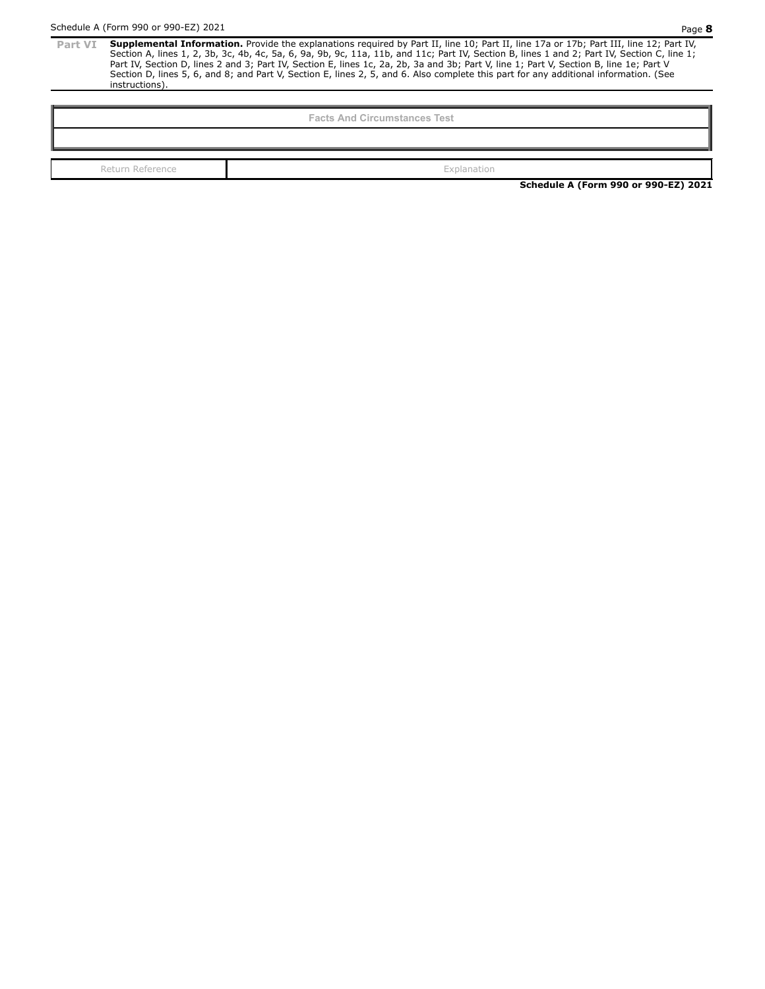Part VI Supplemental Information. Provide the explanations required by Part II, line 10; Part II, line 17a or 17b; Part III, line 12; Part IV, Part IV, Part IV, Part IV, Part IV, Section A, lines 1, 2, 3b, 3c, 4b, 4c, 5a, Part IV, Section D, lines 2 and 3; Part IV, Section E, lines 1c, 2a, 2b, 3a and 3b; Part V, line 1; Part V, Section B, line 1e; Part V Section D, lines 5, 6, and 8; and Part V, Section E, lines 2, 5, and 6. Also complete this part for any additional information. (See instructions).

**Facts And Circumstances Test**

Return Reference **Explanation**